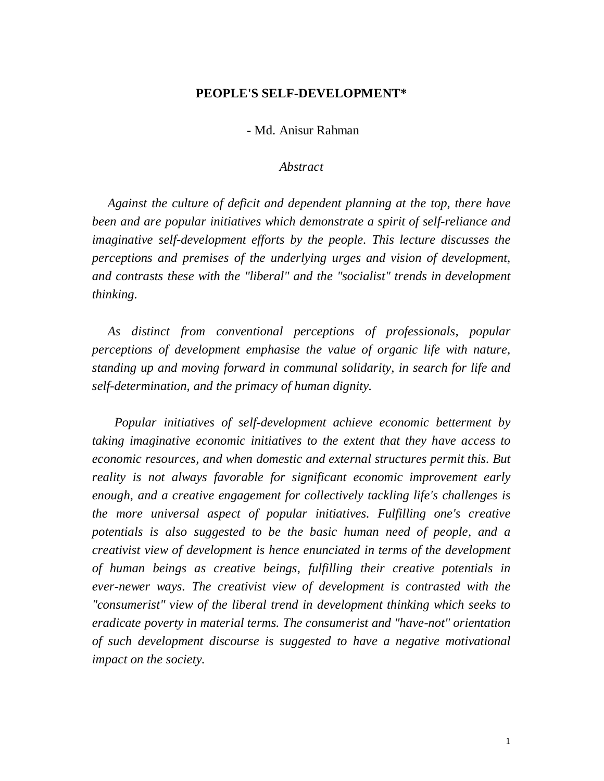#### **PEOPLE'S SELF-DEVELOPMENT\***

- Md. Anisur Rahman

#### *Abstract*

*Against the culture of deficit and dependent planning at the top, there have been and are popular initiatives which demonstrate a spirit of self-reliance and imaginative self-development efforts by the people. This lecture discusses the perceptions and premises of the underlying urges and vision of development, and contrasts these with the "liberal" and the "socialist" trends in development thinking.* 

*As distinct from conventional perceptions of professionals, popular perceptions of development emphasise the value of organic life with nature, standing up and moving forward in communal solidarity, in search for life and self-determination, and the primacy of human dignity.* 

*Popular initiatives of self-development achieve economic betterment by taking imaginative economic initiatives to the extent that they have access to economic resources, and when domestic and external structures permit this. But reality is not always favorable for significant economic improvement early enough, and a creative engagement for collectively tackling life's challenges is the more universal aspect of popular initiatives. Fulfilling one's creative potentials is also suggested to be the basic human need of people, and a creativist view of development is hence enunciated in terms of the development of human beings as creative beings, fulfilling their creative potentials in ever-newer ways. The creativist view of development is contrasted with the "consumerist" view of the liberal trend in development thinking which seeks to eradicate poverty in material terms. The consumerist and "have-not" orientation of such development discourse is suggested to have a negative motivational impact on the society.*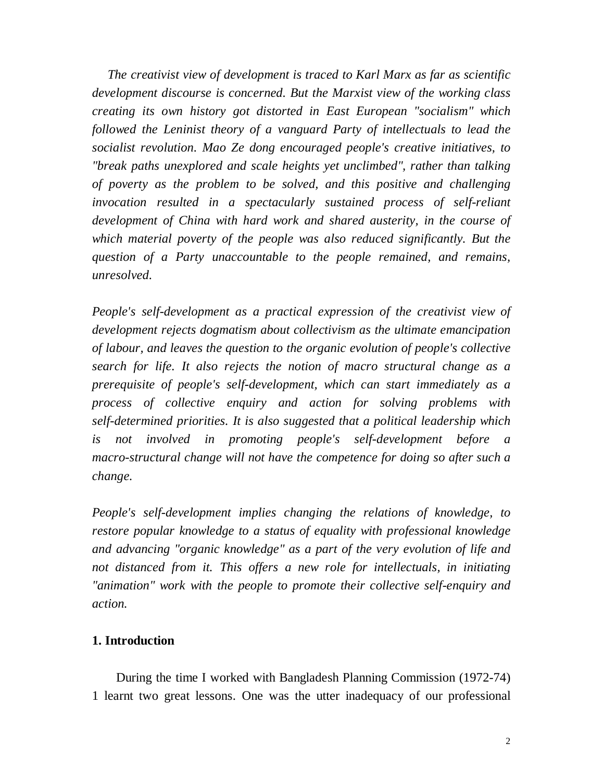*The creativist view of development is traced to Karl Marx as far as scientific development discourse is concerned. But the Marxist view of the working class creating its own history got distorted in East European "socialism" which followed the Leninist theory of a vanguard Party of intellectuals to lead the socialist revolution. Mao Ze dong encouraged people's creative initiatives, to "break paths unexplored and scale heights yet unclimbed", rather than talking of poverty as the problem to be solved, and this positive and challenging invocation resulted in a spectacularly sustained process of self-reliant development of China with hard work and shared austerity, in the course of which material poverty of the people was also reduced significantly. But the question of a Party unaccountable to the people remained, and remains, unresolved.* 

*People's self-development as a practical expression of the creativist view of development rejects dogmatism about collectivism as the ultimate emancipation of labour, and leaves the question to the organic evolution of people's collective search for life. It also rejects the notion of macro structural change as a prerequisite of people's self-development, which can start immediately as a process of collective enquiry and action for solving problems with self-determined priorities. It is also suggested that a political leadership which is not involved in promoting people's self-development before a macro-structural change will not have the competence for doing so after such a change.* 

*People's self-development implies changing the relations of knowledge, to restore popular knowledge to a status of equality with professional knowledge and advancing "organic knowledge" as a part of the very evolution of life and*  not distanced from it. This offers a new role for intellectuals, in initiating *"animation" work with the people to promote their collective self-enquiry and action.* 

### **1. Introduction**

During the time I worked with Bangladesh Planning Commission (1972-74) 1 learnt two great lessons. One was the utter inadequacy of our professional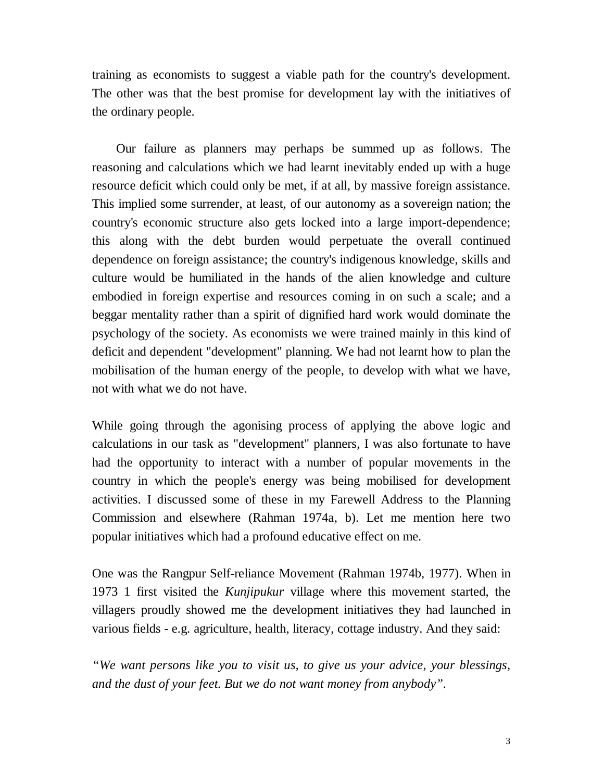training as economists to suggest a viable path for the country's development. The other was that the best promise for development lay with the initiatives of the ordinary people.

Our failure as planners may perhaps be summed up as follows. The reasoning and calculations which we had learnt inevitably ended up with a huge resource deficit which could only be met, if at all, by massive foreign assistance. This implied some surrender, at least, of our autonomy as a sovereign nation; the country's economic structure also gets locked into a large import-dependence; this along with the debt burden would perpetuate the overall continued dependence on foreign assistance; the country's indigenous knowledge, skills and culture would be humiliated in the hands of the alien knowledge and culture embodied in foreign expertise and resources coming in on such a scale; and a beggar mentality rather than a spirit of dignified hard work would dominate the psychology of the society. As economists we were trained mainly in this kind of deficit and dependent "development" planning. We had not learnt how to plan the mobilisation of the human energy of the people, to develop with what we have, not with what we do not have.

While going through the agonising process of applying the above logic and calculations in our task as "development" planners, I was also fortunate to have had the opportunity to interact with a number of popular movements in the country in which the people's energy was being mobilised for development activities. I discussed some of these in my Farewell Address to the Planning Commission and elsewhere (Rahman 1974a, b). Let me mention here two popular initiatives which had a profound educative effect on me.

One was the Rangpur Self-reliance Movement (Rahman 1974b, 1977). When in 1973 1 first visited the *Kunjipukur* village where this movement started, the villagers proudly showed me the development initiatives they had launched in various fields - e.g. agriculture, health, literacy, cottage industry. And they said:

*"We want persons like you to visit us, to give us your advice, your blessings, and the dust of your feet. But we do not want money from anybody".*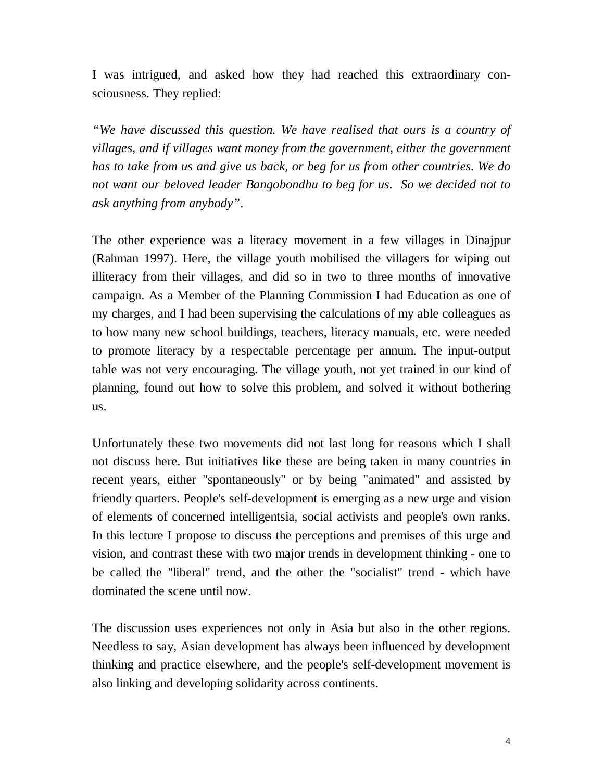I was intrigued, and asked how they had reached this extraordinary consciousness. They replied:

*"We have discussed this question. We have realised that ours is a country of villages, and if villages want money from the government, either the government has to take from us and give us back, or beg for us from other countries. We do not want our beloved leader Bangobondhu to beg for us. So we decided not to ask anything from anybody"*.

The other experience was a literacy movement in a few villages in Dinajpur (Rahman 1997). Here, the village youth mobilised the villagers for wiping out illiteracy from their villages, and did so in two to three months of innovative campaign. As a Member of the Planning Commission I had Education as one of my charges, and I had been supervising the calculations of my able colleagues as to how many new school buildings, teachers, literacy manuals, etc. were needed to promote literacy by a respectable percentage per annum. The input-output table was not very encouraging. The village youth, not yet trained in our kind of planning, found out how to solve this problem, and solved it without bothering us.

Unfortunately these two movements did not last long for reasons which I shall not discuss here. But initiatives like these are being taken in many countries in recent years, either "spontaneously" or by being "animated" and assisted by friendly quarters. People's self-development is emerging as a new urge and vision of elements of concerned intelligentsia, social activists and people's own ranks. In this lecture I propose to discuss the perceptions and premises of this urge and vision, and contrast these with two major trends in development thinking - one to be called the "liberal" trend, and the other the "socialist" trend - which have dominated the scene until now.

The discussion uses experiences not only in Asia but also in the other regions. Needless to say, Asian development has always been influenced by development thinking and practice elsewhere, and the people's self-development movement is also linking and developing solidarity across continents.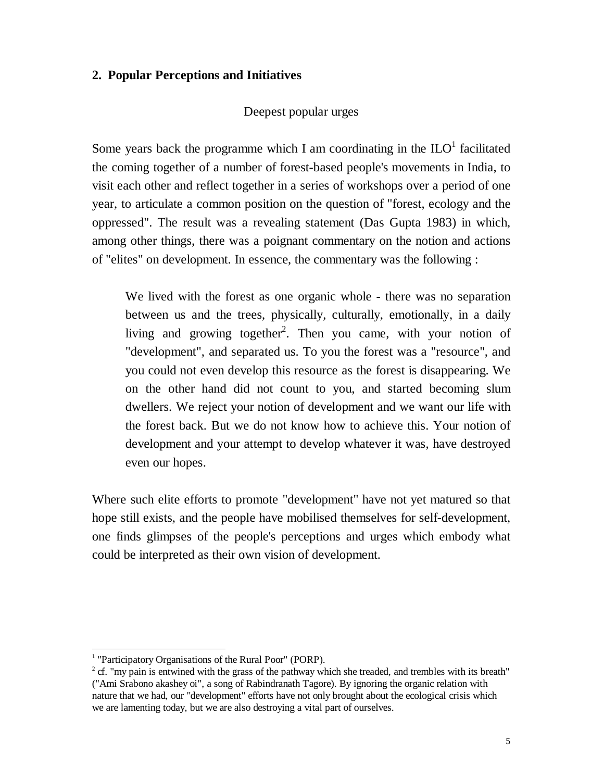## **2. Popular Perceptions and Initiatives**

## Deepest popular urges

Some years back the programme which I am coordinating in the  $ILO<sup>1</sup>$  facilitated the coming together of a number of forest-based people's movements in India, to visit each other and reflect together in a series of workshops over a period of one year, to articulate a common position on the question of "forest, ecology and the oppressed". The result was a revealing statement (Das Gupta 1983) in which, among other things, there was a poignant commentary on the notion and actions of "elites" on development. In essence, the commentary was the following :

We lived with the forest as one organic whole - there was no separation between us and the trees, physically, culturally, emotionally, in a daily living and growing together<sup>2</sup>. Then you came, with your notion of "development", and separated us. To you the forest was a "resource", and you could not even develop this resource as the forest is disappearing. We on the other hand did not count to you, and started becoming slum dwellers. We reject your notion of development and we want our life with the forest back. But we do not know how to achieve this. Your notion of development and your attempt to develop whatever it was, have destroyed even our hopes.

Where such elite efforts to promote "development" have not yet matured so that hope still exists, and the people have mobilised themselves for self-development, one finds glimpses of the people's perceptions and urges which embody what could be interpreted as their own vision of development.

1

<sup>&</sup>lt;sup>1</sup> "Participatory Organisations of the Rural Poor" (PORP).

 $2^2$  cf. "my pain is entwined with the grass of the pathway which she treaded, and trembles with its breath" ("Ami Srabono akashey oi", a song of Rabindranath Tagore). By ignoring the organic relation with nature that we had, our "development" efforts have not only brought about the ecological crisis which we are lamenting today, but we are also destroying a vital part of ourselves.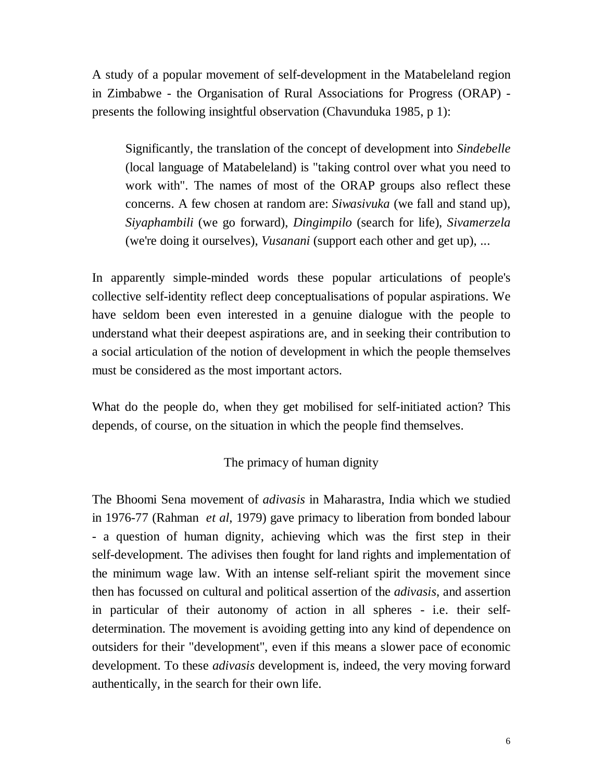A study of a popular movement of self-development in the Matabeleland region in Zimbabwe - the Organisation of Rural Associations for Progress (ORAP) presents the following insightful observation (Chavunduka 1985, p 1):

Significantly, the translation of the concept of development into *Sindebelle* (local language of Matabeleland) is "taking control over what you need to work with". The names of most of the ORAP groups also reflect these concerns. A few chosen at random are: *Siwasivuka* (we fall and stand up), *Siyaphambili* (we go forward), *Dingimpilo* (search for life), *Sivamerzela* (we're doing it ourselves), *Vusanani* (support each other and get up), ...

In apparently simple-minded words these popular articulations of people's collective self-identity reflect deep conceptualisations of popular aspirations. We have seldom been even interested in a genuine dialogue with the people to understand what their deepest aspirations are, and in seeking their contribution to a social articulation of the notion of development in which the people themselves must be considered as the most important actors.

What do the people do, when they get mobilised for self-initiated action? This depends, of course, on the situation in which the people find themselves.

### The primacy of human dignity

The Bhoomi Sena movement of *adivasis* in Maharastra, India which we studied in 1976-77 (Rahman *et al*, 1979) gave primacy to liberation from bonded labour - a question of human dignity, achieving which was the first step in their self-development. The adivises then fought for land rights and implementation of the minimum wage law. With an intense self-reliant spirit the movement since then has focussed on cultural and political assertion of the *adivasis*, and assertion in particular of their autonomy of action in all spheres - i.e. their selfdetermination. The movement is avoiding getting into any kind of dependence on outsiders for their "development", even if this means a slower pace of economic development. To these *adivasis* development is, indeed, the very moving forward authentically, in the search for their own life.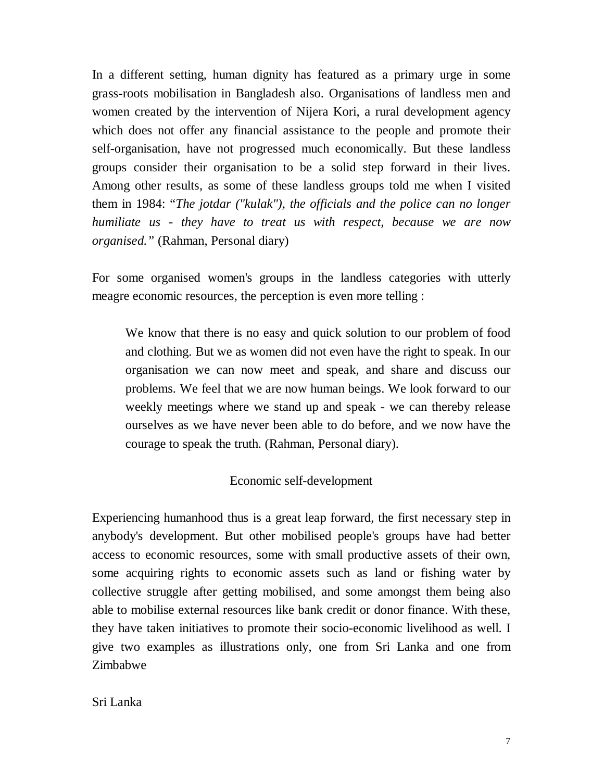In a different setting, human dignity has featured as a primary urge in some grass-roots mobilisation in Bangladesh also. Organisations of landless men and women created by the intervention of Nijera Kori, a rural development agency which does not offer any financial assistance to the people and promote their self-organisation, have not progressed much economically. But these landless groups consider their organisation to be a solid step forward in their lives. Among other results, as some of these landless groups told me when I visited them in 1984: "*The jotdar ("kulak"), the officials and the police can no longer humiliate us - they have to treat us with respect, because we are now organised."* (Rahman, Personal diary)

For some organised women's groups in the landless categories with utterly meagre economic resources, the perception is even more telling :

We know that there is no easy and quick solution to our problem of food and clothing. But we as women did not even have the right to speak. In our organisation we can now meet and speak, and share and discuss our problems. We feel that we are now human beings. We look forward to our weekly meetings where we stand up and speak - we can thereby release ourselves as we have never been able to do before, and we now have the courage to speak the truth. (Rahman, Personal diary).

### Economic self-development

Experiencing humanhood thus is a great leap forward, the first necessary step in anybody's development. But other mobilised people's groups have had better access to economic resources, some with small productive assets of their own, some acquiring rights to economic assets such as land or fishing water by collective struggle after getting mobilised, and some amongst them being also able to mobilise external resources like bank credit or donor finance. With these, they have taken initiatives to promote their socio-economic livelihood as well. I give two examples as illustrations only, one from Sri Lanka and one from Zimbabwe

Sri Lanka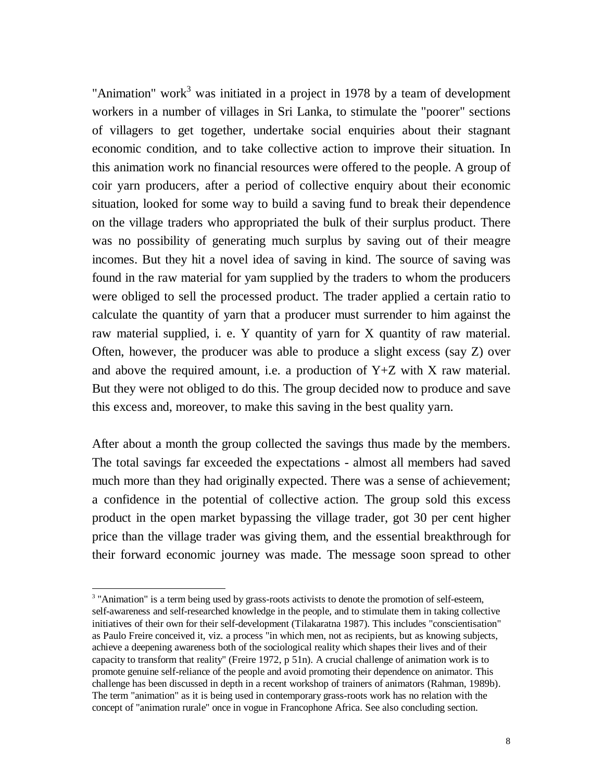"Animation" work<sup>3</sup> was initiated in a project in 1978 by a team of development workers in a number of villages in Sri Lanka, to stimulate the "poorer" sections of villagers to get together, undertake social enquiries about their stagnant economic condition, and to take collective action to improve their situation. In this animation work no financial resources were offered to the people. A group of coir yarn producers, after a period of collective enquiry about their economic situation, looked for some way to build a saving fund to break their dependence on the village traders who appropriated the bulk of their surplus product. There was no possibility of generating much surplus by saving out of their meagre incomes. But they hit a novel idea of saving in kind. The source of saving was found in the raw material for yam supplied by the traders to whom the producers were obliged to sell the processed product. The trader applied a certain ratio to calculate the quantity of yarn that a producer must surrender to him against the raw material supplied, i. e. Y quantity of yarn for X quantity of raw material. Often, however, the producer was able to produce a slight excess (say Z) over and above the required amount, i.e. a production of  $Y+Z$  with X raw material. But they were not obliged to do this. The group decided now to produce and save this excess and, moreover, to make this saving in the best quality yarn.

After about a month the group collected the savings thus made by the members. The total savings far exceeded the expectations - almost all members had saved much more than they had originally expected. There was a sense of achievement; a confidence in the potential of collective action. The group sold this excess product in the open market bypassing the village trader, got 30 per cent higher price than the village trader was giving them, and the essential breakthrough for their forward economic journey was made. The message soon spread to other

<sup>&</sup>lt;sup>3</sup> "Animation" is a term being used by grass-roots activists to denote the promotion of self-esteem, self-awareness and self-researched knowledge in the people, and to stimulate them in taking collective initiatives of their own for their self-development (Tilakaratna 1987). This includes "conscientisation" as Paulo Freire conceived it, viz. a process "in which men, not as recipients, but as knowing subjects, achieve a deepening awareness both of the sociological reality which shapes their lives and of their capacity to transform that reality" (Freire 1972, p 51n). A crucial challenge of animation work is to promote genuine self-reliance of the people and avoid promoting their dependence on animator. This challenge has been discussed in depth in a recent workshop of trainers of animators (Rahman, 1989b). The term "animation" as it is being used in contemporary grass-roots work has no relation with the concept of "animation rurale" once in vogue in Francophone Africa. See also concluding section.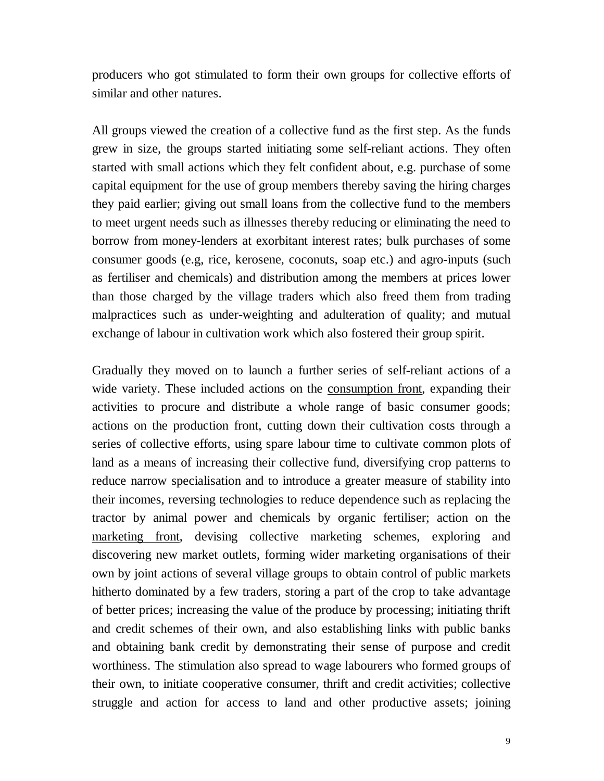producers who got stimulated to form their own groups for collective efforts of similar and other natures.

All groups viewed the creation of a collective fund as the first step. As the funds grew in size, the groups started initiating some self-reliant actions. They often started with small actions which they felt confident about, e.g. purchase of some capital equipment for the use of group members thereby saving the hiring charges they paid earlier; giving out small loans from the collective fund to the members to meet urgent needs such as illnesses thereby reducing or eliminating the need to borrow from money-lenders at exorbitant interest rates; bulk purchases of some consumer goods (e.g, rice, kerosene, coconuts, soap etc.) and agro-inputs (such as fertiliser and chemicals) and distribution among the members at prices lower than those charged by the village traders which also freed them from trading malpractices such as under-weighting and adulteration of quality; and mutual exchange of labour in cultivation work which also fostered their group spirit.

Gradually they moved on to launch a further series of self-reliant actions of a wide variety. These included actions on the consumption front, expanding their activities to procure and distribute a whole range of basic consumer goods; actions on the production front, cutting down their cultivation costs through a series of collective efforts, using spare labour time to cultivate common plots of land as a means of increasing their collective fund, diversifying crop patterns to reduce narrow specialisation and to introduce a greater measure of stability into their incomes, reversing technologies to reduce dependence such as replacing the tractor by animal power and chemicals by organic fertiliser; action on the marketing front, devising collective marketing schemes, exploring and discovering new market outlets, forming wider marketing organisations of their own by joint actions of several village groups to obtain control of public markets hitherto dominated by a few traders, storing a part of the crop to take advantage of better prices; increasing the value of the produce by processing; initiating thrift and credit schemes of their own, and also establishing links with public banks and obtaining bank credit by demonstrating their sense of purpose and credit worthiness. The stimulation also spread to wage labourers who formed groups of their own, to initiate cooperative consumer, thrift and credit activities; collective struggle and action for access to land and other productive assets; joining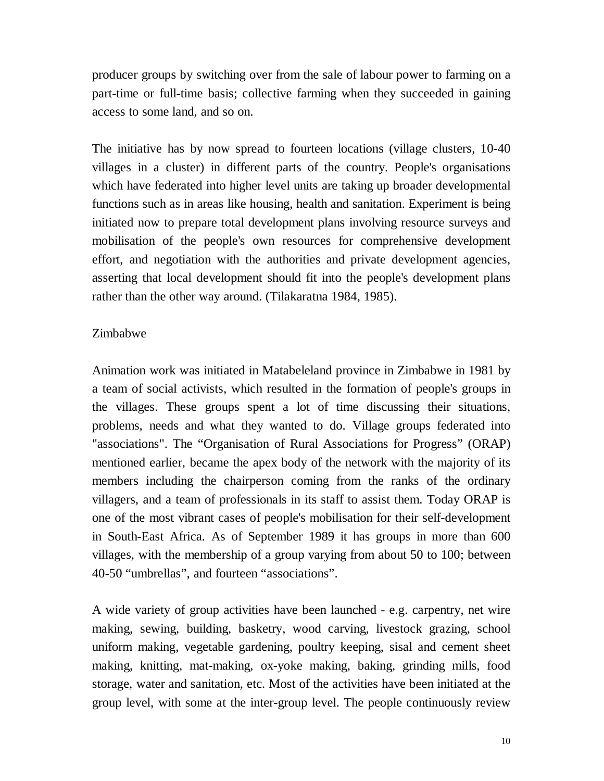producer groups by switching over from the sale of labour power to farming on a part-time or full-time basis; collective farming when they succeeded in gaining access to some land, and so on.

The initiative has by now spread to fourteen locations (village clusters, 10-40 villages in a cluster) in different parts of the country. People's organisations which have federated into higher level units are taking up broader developmental functions such as in areas like housing, health and sanitation. Experiment is being initiated now to prepare total development plans involving resource surveys and mobilisation of the people's own resources for comprehensive development effort, and negotiation with the authorities and private development agencies, asserting that local development should fit into the people's development plans rather than the other way around. (Tilakaratna 1984, 1985).

### Zimbabwe

Animation work was initiated in Matabeleland province in Zimbabwe in 1981 by a team of social activists, which resulted in the formation of people's groups in the villages. These groups spent a lot of time discussing their situations, problems, needs and what they wanted to do. Village groups federated into "associations". The "Organisation of Rural Associations for Progress" (ORAP) mentioned earlier, became the apex body of the network with the majority of its members including the chairperson coming from the ranks of the ordinary villagers, and a team of professionals in its staff to assist them. Today ORAP is one of the most vibrant cases of people's mobilisation for their self-development in South-East Africa. As of September 1989 it has groups in more than 600 villages, with the membership of a group varying from about 50 to 100; between 40-50 "umbrellas", and fourteen "associations".

A wide variety of group activities have been launched - e.g. carpentry, net wire making, sewing, building, basketry, wood carving, livestock grazing, school uniform making, vegetable gardening, poultry keeping, sisal and cement sheet making, knitting, mat-making, ox-yoke making, baking, grinding mills, food storage, water and sanitation, etc. Most of the activities have been initiated at the group level, with some at the inter-group level. The people continuously review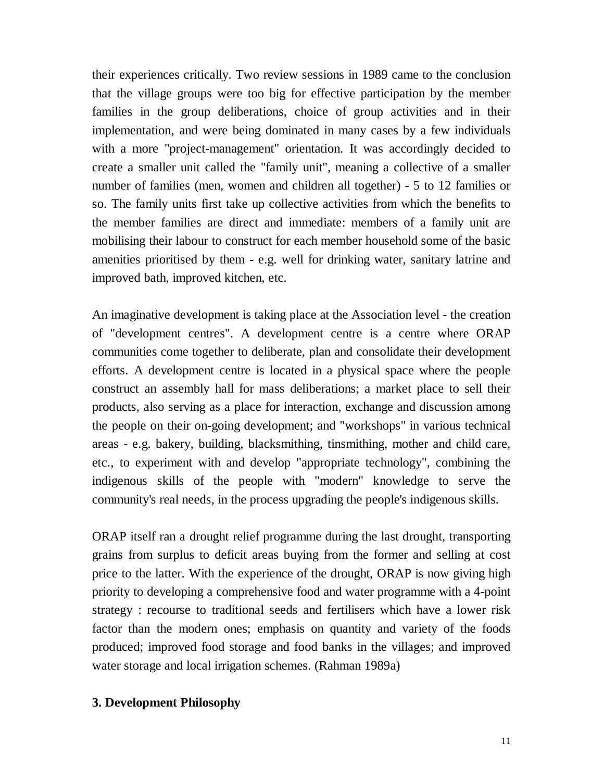their experiences critically. Two review sessions in 1989 came to the conclusion that the village groups were too big for effective participation by the member families in the group deliberations, choice of group activities and in their implementation, and were being dominated in many cases by a few individuals with a more "project-management" orientation. It was accordingly decided to create a smaller unit called the "family unit", meaning a collective of a smaller number of families (men, women and children all together) - 5 to 12 families or so. The family units first take up collective activities from which the benefits to the member families are direct and immediate: members of a family unit are mobilising their labour to construct for each member household some of the basic amenities prioritised by them - e.g. well for drinking water, sanitary latrine and improved bath, improved kitchen, etc.

An imaginative development is taking place at the Association level - the creation of "development centres". A development centre is a centre where ORAP communities come together to deliberate, plan and consolidate their development efforts. A development centre is located in a physical space where the people construct an assembly hall for mass deliberations; a market place to sell their products, also serving as a place for interaction, exchange and discussion among the people on their on-going development; and "workshops" in various technical areas - e.g. bakery, building, blacksmithing, tinsmithing, mother and child care, etc., to experiment with and develop "appropriate technology", combining the indigenous skills of the people with "modern" knowledge to serve the community's real needs, in the process upgrading the people's indigenous skills.

ORAP itself ran a drought relief programme during the last drought, transporting grains from surplus to deficit areas buying from the former and selling at cost price to the latter. With the experience of the drought, ORAP is now giving high priority to developing a comprehensive food and water programme with a 4-point strategy : recourse to traditional seeds and fertilisers which have a lower risk factor than the modern ones; emphasis on quantity and variety of the foods produced; improved food storage and food banks in the villages; and improved water storage and local irrigation schemes. (Rahman 1989a)

#### **3. Development Philosophy**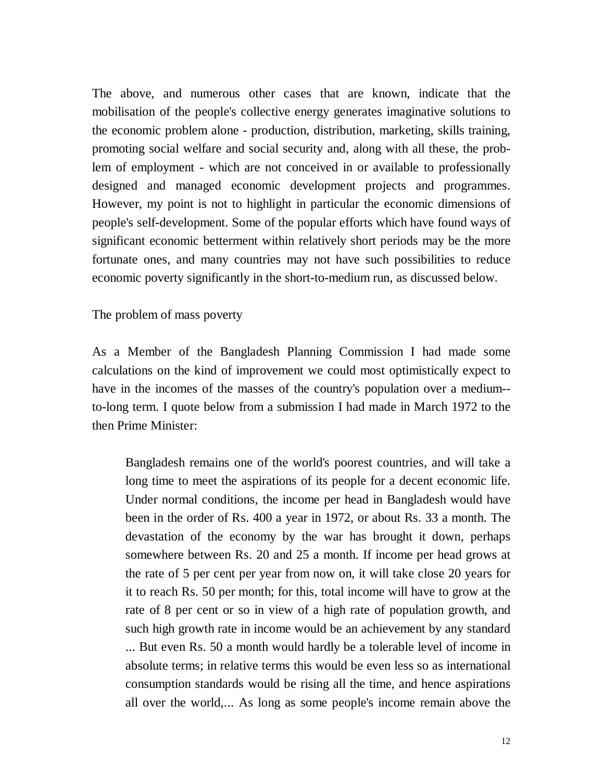The above, and numerous other cases that are known, indicate that the mobilisation of the people's collective energy generates imaginative solutions to the economic problem alone - production, distribution, marketing, skills training, promoting social welfare and social security and, along with all these, the problem of employment - which are not conceived in or available to professionally designed and managed economic development projects and programmes. However, my point is not to highlight in particular the economic dimensions of people's self-development. Some of the popular efforts which have found ways of significant economic betterment within relatively short periods may be the more fortunate ones, and many countries may not have such possibilities to reduce economic poverty significantly in the short-to-medium run, as discussed below.

The problem of mass poverty

As a Member of the Bangladesh Planning Commission I had made some calculations on the kind of improvement we could most optimistically expect to have in the incomes of the masses of the country's population over a medium- to-long term. I quote below from a submission I had made in March 1972 to the then Prime Minister:

Bangladesh remains one of the world's poorest countries, and will take a long time to meet the aspirations of its people for a decent economic life. Under normal conditions, the income per head in Bangladesh would have been in the order of Rs. 400 a year in 1972, or about Rs. 33 a month. The devastation of the economy by the war has brought it down, perhaps somewhere between Rs. 20 and 25 a month. If income per head grows at the rate of 5 per cent per year from now on, it will take close 20 years for it to reach Rs. 50 per month; for this, total income will have to grow at the rate of 8 per cent or so in view of a high rate of population growth, and such high growth rate in income would be an achievement by any standard ... But even Rs. 50 a month would hardly be a tolerable level of income in absolute terms; in relative terms this would be even less so as international consumption standards would be rising all the time, and hence aspirations all over the world,... As long as some people's income remain above the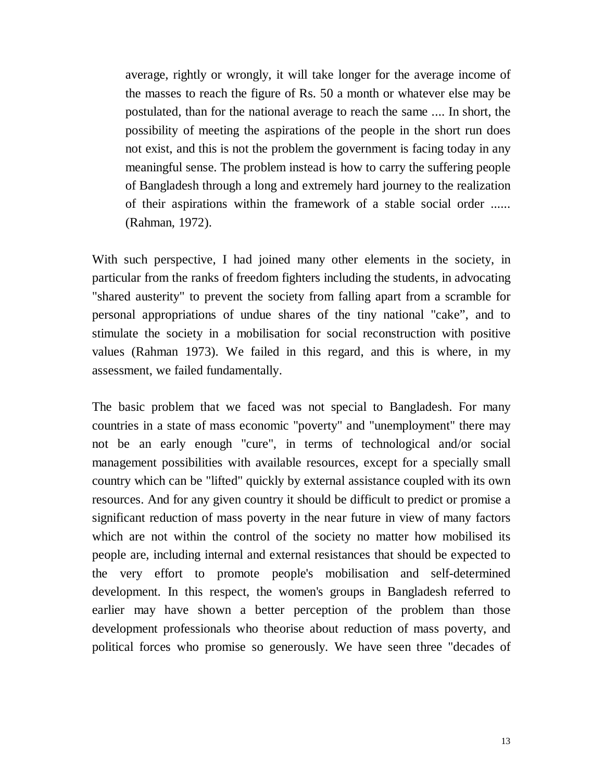average, rightly or wrongly, it will take longer for the average income of the masses to reach the figure of Rs. 50 a month or whatever else may be postulated, than for the national average to reach the same .... In short, the possibility of meeting the aspirations of the people in the short run does not exist, and this is not the problem the government is facing today in any meaningful sense. The problem instead is how to carry the suffering people of Bangladesh through a long and extremely hard journey to the realization of their aspirations within the framework of a stable social order ...... (Rahman, 1972).

With such perspective, I had joined many other elements in the society, in particular from the ranks of freedom fighters including the students, in advocating "shared austerity" to prevent the society from falling apart from a scramble for personal appropriations of undue shares of the tiny national "cake", and to stimulate the society in a mobilisation for social reconstruction with positive values (Rahman 1973). We failed in this regard, and this is where, in my assessment, we failed fundamentally.

The basic problem that we faced was not special to Bangladesh. For many countries in a state of mass economic "poverty" and "unemployment" there may not be an early enough "cure", in terms of technological and/or social management possibilities with available resources, except for a specially small country which can be "lifted" quickly by external assistance coupled with its own resources. And for any given country it should be difficult to predict or promise a significant reduction of mass poverty in the near future in view of many factors which are not within the control of the society no matter how mobilised its people are, including internal and external resistances that should be expected to the very effort to promote people's mobilisation and self-determined development. In this respect, the women's groups in Bangladesh referred to earlier may have shown a better perception of the problem than those development professionals who theorise about reduction of mass poverty, and political forces who promise so generously. We have seen three "decades of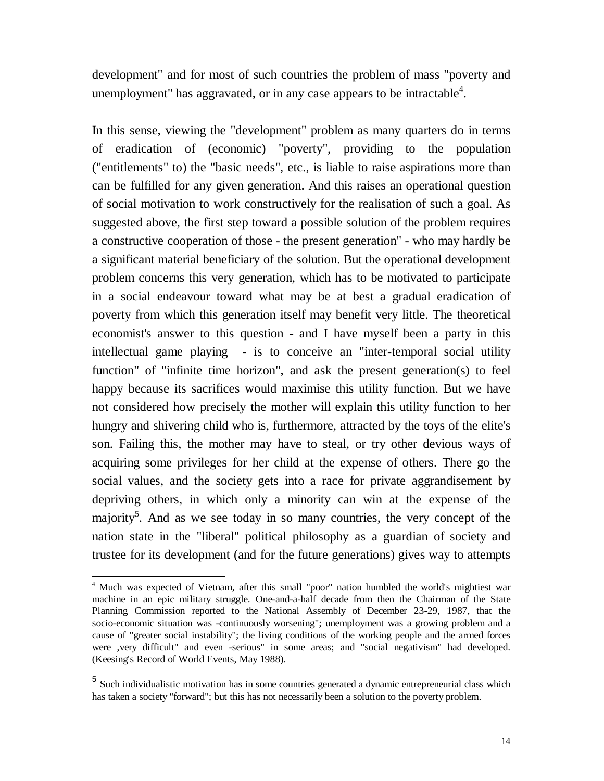development" and for most of such countries the problem of mass "poverty and unemployment" has aggravated, or in any case appears to be intractable<sup>4</sup>.

In this sense, viewing the "development" problem as many quarters do in terms of eradication of (economic) "poverty", providing to the population ("entitlements" to) the "basic needs", etc., is liable to raise aspirations more than can be fulfilled for any given generation. And this raises an operational question of social motivation to work constructively for the realisation of such a goal. As suggested above, the first step toward a possible solution of the problem requires a constructive cooperation of those - the present generation" - who may hardly be a significant material beneficiary of the solution. But the operational development problem concerns this very generation, which has to be motivated to participate in a social endeavour toward what may be at best a gradual eradication of poverty from which this generation itself may benefit very little. The theoretical economist's answer to this question - and I have myself been a party in this intellectual game playing - is to conceive an "inter-temporal social utility function" of "infinite time horizon", and ask the present generation(s) to feel happy because its sacrifices would maximise this utility function. But we have not considered how precisely the mother will explain this utility function to her hungry and shivering child who is, furthermore, attracted by the toys of the elite's son. Failing this, the mother may have to steal, or try other devious ways of acquiring some privileges for her child at the expense of others. There go the social values, and the society gets into a race for private aggrandisement by depriving others, in which only a minority can win at the expense of the majority<sup>5</sup>. And as we see today in so many countries, the very concept of the nation state in the "liberal" political philosophy as a guardian of society and trustee for its development (and for the future generations) gives way to attempts

<sup>4</sup> Much was expected of Vietnam, after this small "poor" nation humbled the world's mightiest war machine in an epic military struggle. One-and-a-half decade from then the Chairman of the State Planning Commission reported to the National Assembly of December 23-29, 1987, that the socio-economic situation was -continuously worsening"; unemployment was a growing problem and a cause of "greater social instability"; the living conditions of the working people and the armed forces were ,very difficult" and even -serious" in some areas; and "social negativism" had developed. (Keesing's Record of World Events, May 1988).

<sup>&</sup>lt;sup>5</sup> Such individualistic motivation has in some countries generated a dynamic entrepreneurial class which has taken a society "forward"; but this has not necessarily been a solution to the poverty problem.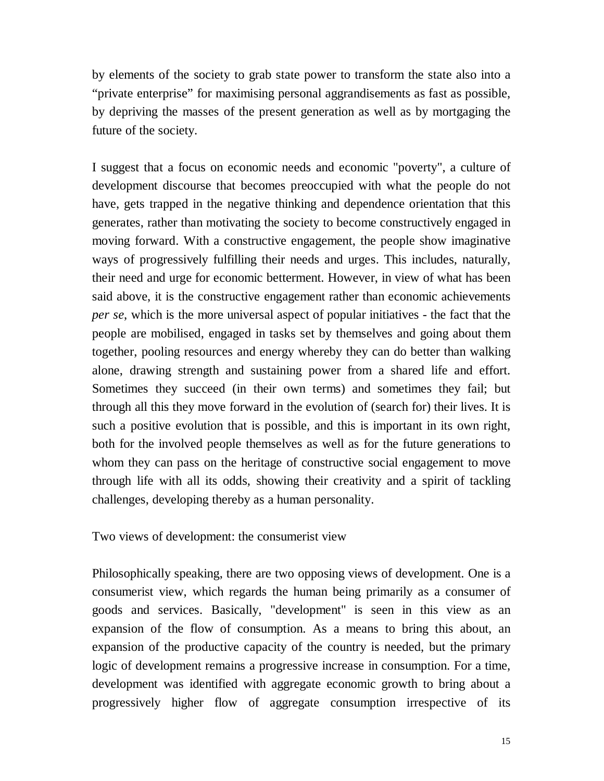by elements of the society to grab state power to transform the state also into a "private enterprise" for maximising personal aggrandisements as fast as possible, by depriving the masses of the present generation as well as by mortgaging the future of the society.

I suggest that a focus on economic needs and economic "poverty", a culture of development discourse that becomes preoccupied with what the people do not have, gets trapped in the negative thinking and dependence orientation that this generates, rather than motivating the society to become constructively engaged in moving forward. With a constructive engagement, the people show imaginative ways of progressively fulfilling their needs and urges. This includes, naturally, their need and urge for economic betterment. However, in view of what has been said above, it is the constructive engagement rather than economic achievements *per se*, which is the more universal aspect of popular initiatives - the fact that the people are mobilised, engaged in tasks set by themselves and going about them together, pooling resources and energy whereby they can do better than walking alone, drawing strength and sustaining power from a shared life and effort. Sometimes they succeed (in their own terms) and sometimes they fail; but through all this they move forward in the evolution of (search for) their lives. It is such a positive evolution that is possible, and this is important in its own right, both for the involved people themselves as well as for the future generations to whom they can pass on the heritage of constructive social engagement to move through life with all its odds, showing their creativity and a spirit of tackling challenges, developing thereby as a human personality.

Two views of development: the consumerist view

Philosophically speaking, there are two opposing views of development. One is a consumerist view, which regards the human being primarily as a consumer of goods and services. Basically, "development" is seen in this view as an expansion of the flow of consumption. As a means to bring this about, an expansion of the productive capacity of the country is needed, but the primary logic of development remains a progressive increase in consumption. For a time, development was identified with aggregate economic growth to bring about a progressively higher flow of aggregate consumption irrespective of its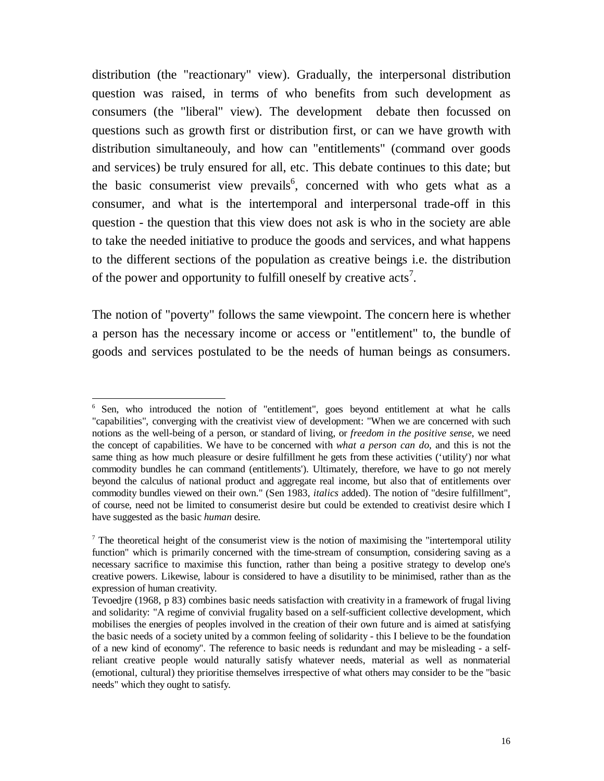distribution (the "reactionary" view). Gradually, the interpersonal distribution question was raised, in terms of who benefits from such development as consumers (the "liberal" view). The development debate then focussed on questions such as growth first or distribution first, or can we have growth with distribution simultaneouly, and how can "entitlements" (command over goods and services) be truly ensured for all, etc. This debate continues to this date; but the basic consumerist view prevails<sup>6</sup>, concerned with who gets what as a consumer, and what is the intertemporal and interpersonal trade-off in this question - the question that this view does not ask is who in the society are able to take the needed initiative to produce the goods and services, and what happens to the different sections of the population as creative beings i.e. the distribution of the power and opportunity to fulfill oneself by creative  $acts<sup>7</sup>$ .

The notion of "poverty" follows the same viewpoint. The concern here is whether a person has the necessary income or access or "entitlement" to, the bundle of goods and services postulated to be the needs of human beings as consumers.

 $\overline{a}$ 

<sup>6</sup> Sen, who introduced the notion of "entitlement", goes beyond entitlement at what he calls "capabilities", converging with the creativist view of development: "When we are concerned with such notions as the well-being of a person, or standard of living, or *freedom in the positive sense*, we need the concept of capabilities. We have to be concerned with *what a person can do*, and this is not the same thing as how much pleasure or desire fulfillment he gets from these activities ('utility') nor what commodity bundles he can command (entitlements'). Ultimately, therefore, we have to go not merely beyond the calculus of national product and aggregate real income, but also that of entitlements over commodity bundles viewed on their own." (Sen 1983, *italics* added). The notion of "desire fulfillment", of course, need not be limited to consumerist desire but could be extended to creativist desire which I have suggested as the basic *human* desire.

<sup>&</sup>lt;sup>7</sup> The theoretical height of the consumerist view is the notion of maximising the "intertemporal utility" function" which is primarily concerned with the time-stream of consumption, considering saving as a necessary sacrifice to maximise this function, rather than being a positive strategy to develop one's creative powers. Likewise, labour is considered to have a disutility to be minimised, rather than as the expression of human creativity.

Tevoedjre (1968, p 83) combines basic needs satisfaction with creativity in a framework of frugal living and solidarity: "A regime of convivial frugality based on a self-sufficient collective development, which mobilises the energies of peoples involved in the creation of their own future and is aimed at satisfying the basic needs of a society united by a common feeling of solidarity - this I believe to be the foundation of a new kind of economy". The reference to basic needs is redundant and may be misleading - a selfreliant creative people would naturally satisfy whatever needs, material as well as nonmaterial (emotional, cultural) they prioritise themselves irrespective of what others may consider to be the "basic needs" which they ought to satisfy.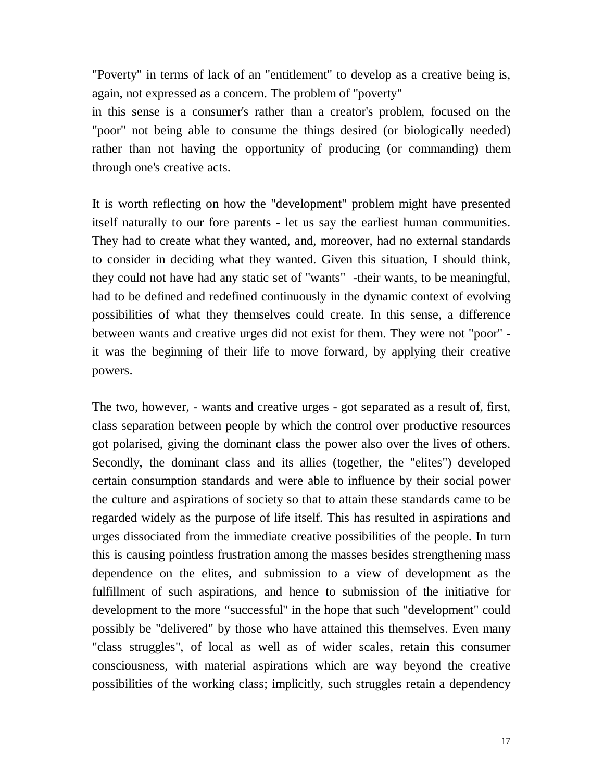"Poverty" in terms of lack of an "entitlement" to develop as a creative being is, again, not expressed as a concern. The problem of "poverty"

in this sense is a consumer's rather than a creator's problem, focused on the "poor" not being able to consume the things desired (or biologically needed) rather than not having the opportunity of producing (or commanding) them through one's creative acts.

It is worth reflecting on how the "development" problem might have presented itself naturally to our fore parents - let us say the earliest human communities. They had to create what they wanted, and, moreover, had no external standards to consider in deciding what they wanted. Given this situation, I should think, they could not have had any static set of "wants" -their wants, to be meaningful, had to be defined and redefined continuously in the dynamic context of evolving possibilities of what they themselves could create. In this sense, a difference between wants and creative urges did not exist for them. They were not "poor" it was the beginning of their life to move forward, by applying their creative powers.

The two, however, - wants and creative urges - got separated as a result of, first, class separation between people by which the control over productive resources got polarised, giving the dominant class the power also over the lives of others. Secondly, the dominant class and its allies (together, the "elites") developed certain consumption standards and were able to influence by their social power the culture and aspirations of society so that to attain these standards came to be regarded widely as the purpose of life itself. This has resulted in aspirations and urges dissociated from the immediate creative possibilities of the people. In turn this is causing pointless frustration among the masses besides strengthening mass dependence on the elites, and submission to a view of development as the fulfillment of such aspirations, and hence to submission of the initiative for development to the more "successful" in the hope that such "development" could possibly be "delivered" by those who have attained this themselves. Even many "class struggles", of local as well as of wider scales, retain this consumer consciousness, with material aspirations which are way beyond the creative possibilities of the working class; implicitly, such struggles retain a dependency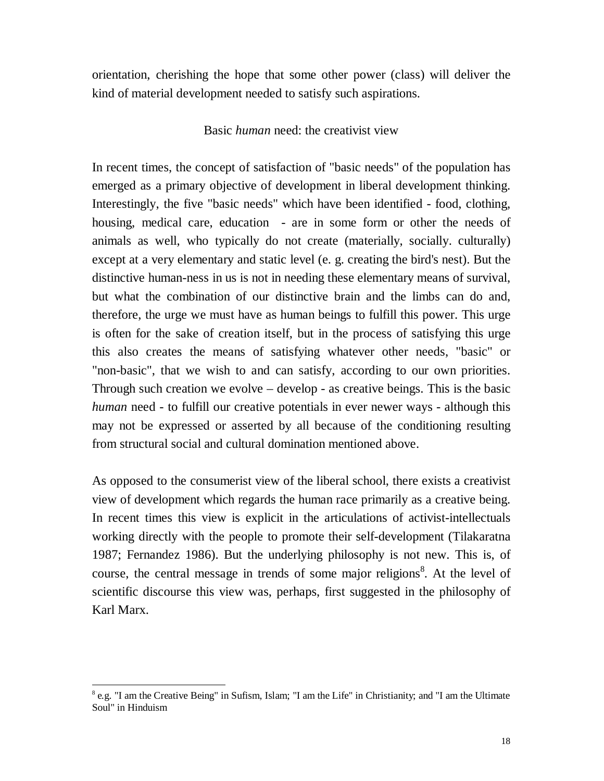orientation, cherishing the hope that some other power (class) will deliver the kind of material development needed to satisfy such aspirations.

### Basic *human* need: the creativist view

In recent times, the concept of satisfaction of "basic needs" of the population has emerged as a primary objective of development in liberal development thinking. Interestingly, the five "basic needs" which have been identified - food, clothing, housing, medical care, education - are in some form or other the needs of animals as well, who typically do not create (materially, socially. culturally) except at a very elementary and static level (e. g. creating the bird's nest). But the distinctive human-ness in us is not in needing these elementary means of survival, but what the combination of our distinctive brain and the limbs can do and, therefore, the urge we must have as human beings to fulfill this power. This urge is often for the sake of creation itself, but in the process of satisfying this urge this also creates the means of satisfying whatever other needs, "basic" or "non-basic", that we wish to and can satisfy, according to our own priorities. Through such creation we evolve – develop - as creative beings. This is the basic *human* need - to fulfill our creative potentials in ever newer ways - although this may not be expressed or asserted by all because of the conditioning resulting from structural social and cultural domination mentioned above.

As opposed to the consumerist view of the liberal school, there exists a creativist view of development which regards the human race primarily as a creative being. In recent times this view is explicit in the articulations of activist-intellectuals working directly with the people to promote their self-development (Tilakaratna 1987; Fernandez 1986). But the underlying philosophy is not new. This is, of course, the central message in trends of some major religions<sup>8</sup>. At the level of scientific discourse this view was, perhaps, first suggested in the philosophy of Karl Marx.

<sup>&</sup>lt;sup>8</sup> e.g. "I am the Creative Being" in Sufism, Islam; "I am the Life" in Christianity; and "I am the Ultimate Soul" in Hinduism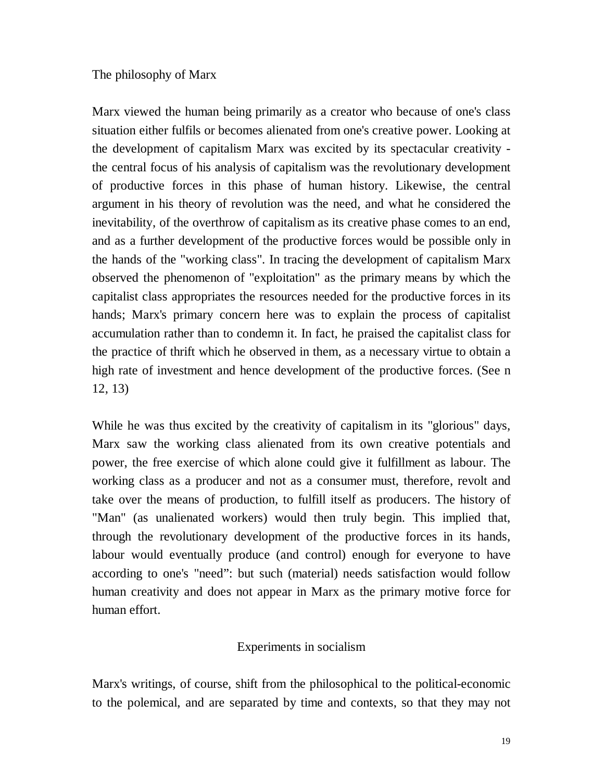## The philosophy of Marx

Marx viewed the human being primarily as a creator who because of one's class situation either fulfils or becomes alienated from one's creative power. Looking at the development of capitalism Marx was excited by its spectacular creativity the central focus of his analysis of capitalism was the revolutionary development of productive forces in this phase of human history. Likewise, the central argument in his theory of revolution was the need, and what he considered the inevitability, of the overthrow of capitalism as its creative phase comes to an end, and as a further development of the productive forces would be possible only in the hands of the "working class". In tracing the development of capitalism Marx observed the phenomenon of "exploitation" as the primary means by which the capitalist class appropriates the resources needed for the productive forces in its hands; Marx's primary concern here was to explain the process of capitalist accumulation rather than to condemn it. In fact, he praised the capitalist class for the practice of thrift which he observed in them, as a necessary virtue to obtain a high rate of investment and hence development of the productive forces. (See n 12, 13)

While he was thus excited by the creativity of capitalism in its "glorious" days, Marx saw the working class alienated from its own creative potentials and power, the free exercise of which alone could give it fulfillment as labour. The working class as a producer and not as a consumer must, therefore, revolt and take over the means of production, to fulfill itself as producers. The history of "Man" (as unalienated workers) would then truly begin. This implied that, through the revolutionary development of the productive forces in its hands, labour would eventually produce (and control) enough for everyone to have according to one's "need": but such (material) needs satisfaction would follow human creativity and does not appear in Marx as the primary motive force for human effort.

### Experiments in socialism

Marx's writings, of course, shift from the philosophical to the political-economic to the polemical, and are separated by time and contexts, so that they may not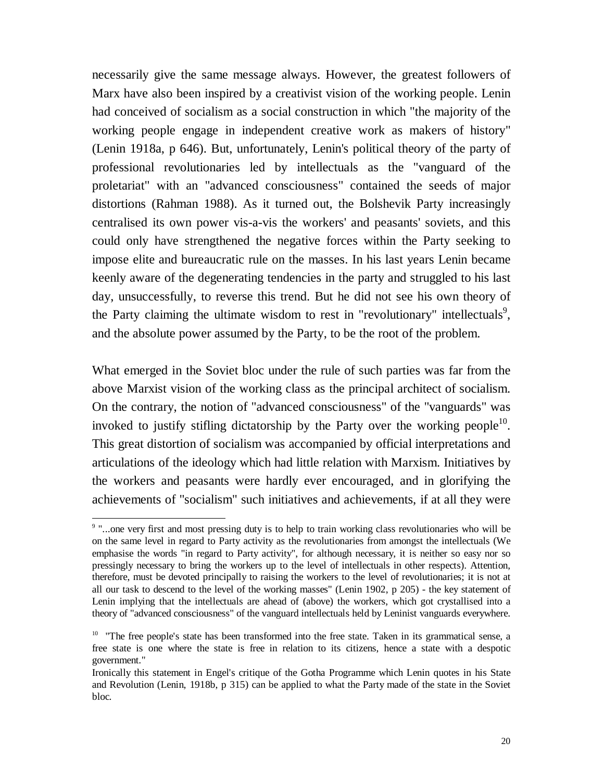necessarily give the same message always. However, the greatest followers of Marx have also been inspired by a creativist vision of the working people. Lenin had conceived of socialism as a social construction in which "the majority of the working people engage in independent creative work as makers of history" (Lenin 1918a, p 646). But, unfortunately, Lenin's political theory of the party of professional revolutionaries led by intellectuals as the "vanguard of the proletariat" with an "advanced consciousness" contained the seeds of major distortions (Rahman 1988). As it turned out, the Bolshevik Party increasingly centralised its own power vis-a-vis the workers' and peasants' soviets, and this could only have strengthened the negative forces within the Party seeking to impose elite and bureaucratic rule on the masses. In his last years Lenin became keenly aware of the degenerating tendencies in the party and struggled to his last day, unsuccessfully, to reverse this trend. But he did not see his own theory of the Party claiming the ultimate wisdom to rest in "revolutionary" intellectuals<sup>9</sup>, and the absolute power assumed by the Party, to be the root of the problem.

What emerged in the Soviet bloc under the rule of such parties was far from the above Marxist vision of the working class as the principal architect of socialism. On the contrary, the notion of "advanced consciousness" of the "vanguards" was invoked to justify stifling dictatorship by the Party over the working people<sup>10</sup>. This great distortion of socialism was accompanied by official interpretations and articulations of the ideology which had little relation with Marxism. Initiatives by the workers and peasants were hardly ever encouraged, and in glorifying the achievements of "socialism" such initiatives and achievements, if at all they were

<sup>&</sup>lt;sup>9</sup> "...one very first and most pressing duty is to help to train working class revolutionaries who will be on the same level in regard to Party activity as the revolutionaries from amongst the intellectuals (We emphasise the words "in regard to Party activity", for although necessary, it is neither so easy nor so pressingly necessary to bring the workers up to the level of intellectuals in other respects). Attention, therefore, must be devoted principally to raising the workers to the level of revolutionaries; it is not at all our task to descend to the level of the working masses" (Lenin 1902, p 205) - the key statement of Lenin implying that the intellectuals are ahead of (above) the workers, which got crystallised into a theory of "advanced consciousness" of the vanguard intellectuals held by Leninist vanguards everywhere.

 $10$  "The free people's state has been transformed into the free state. Taken in its grammatical sense, a free state is one where the state is free in relation to its citizens, hence a state with a despotic government."

Ironically this statement in Engel's critique of the Gotha Programme which Lenin quotes in his State and Revolution (Lenin, 1918b, p 315) can be applied to what the Party made of the state in the Soviet bloc.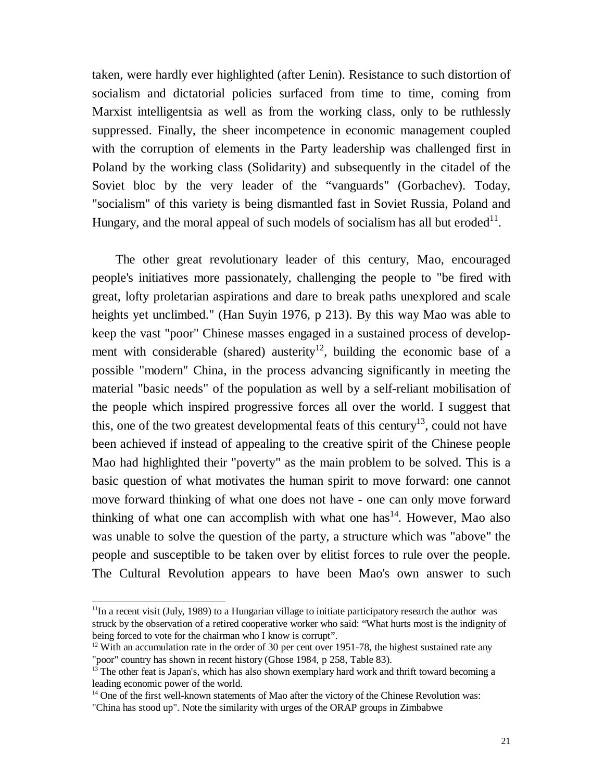taken, were hardly ever highlighted (after Lenin). Resistance to such distortion of socialism and dictatorial policies surfaced from time to time, coming from Marxist intelligentsia as well as from the working class, only to be ruthlessly suppressed. Finally, the sheer incompetence in economic management coupled with the corruption of elements in the Party leadership was challenged first in Poland by the working class (Solidarity) and subsequently in the citadel of the Soviet bloc by the very leader of the "vanguards" (Gorbachev). Today, "socialism" of this variety is being dismantled fast in Soviet Russia, Poland and Hungary, and the moral appeal of such models of socialism has all but eroded $^{11}$ .

 The other great revolutionary leader of this century, Mao, encouraged people's initiatives more passionately, challenging the people to "be fired with great, lofty proletarian aspirations and dare to break paths unexplored and scale heights yet unclimbed." (Han Suyin 1976, p 213). By this way Mao was able to keep the vast "poor" Chinese masses engaged in a sustained process of development with considerable (shared) austerity<sup>12</sup>, building the economic base of a possible "modern" China, in the process advancing significantly in meeting the material "basic needs" of the population as well by a self-reliant mobilisation of the people which inspired progressive forces all over the world. I suggest that this, one of the two greatest developmental feats of this century<sup>13</sup>, could not have been achieved if instead of appealing to the creative spirit of the Chinese people Mao had highlighted their "poverty" as the main problem to be solved. This is a basic question of what motivates the human spirit to move forward: one cannot move forward thinking of what one does not have - one can only move forward thinking of what one can accomplish with what one has<sup>14</sup>. However, Mao also was unable to solve the question of the party, a structure which was "above" the people and susceptible to be taken over by elitist forces to rule over the people. The Cultural Revolution appears to have been Mao's own answer to such

 $11$ In a recent visit (July, 1989) to a Hungarian village to initiate participatory research the author was struck by the observation of a retired cooperative worker who said: "What hurts most is the indignity of being forced to vote for the chairman who I know is corrupt".

 $12$  With an accumulation rate in the order of 30 per cent over 1951-78, the highest sustained rate any "poor" country has shown in recent history (Ghose 1984, p 258, Table 83).

 $13$  The other feat is Japan's, which has also shown exemplary hard work and thrift toward becoming a leading economic power of the world.

 $14$  One of the first well-known statements of Mao after the victory of the Chinese Revolution was: "China has stood up". Note the similarity with urges of the ORAP groups in Zimbabwe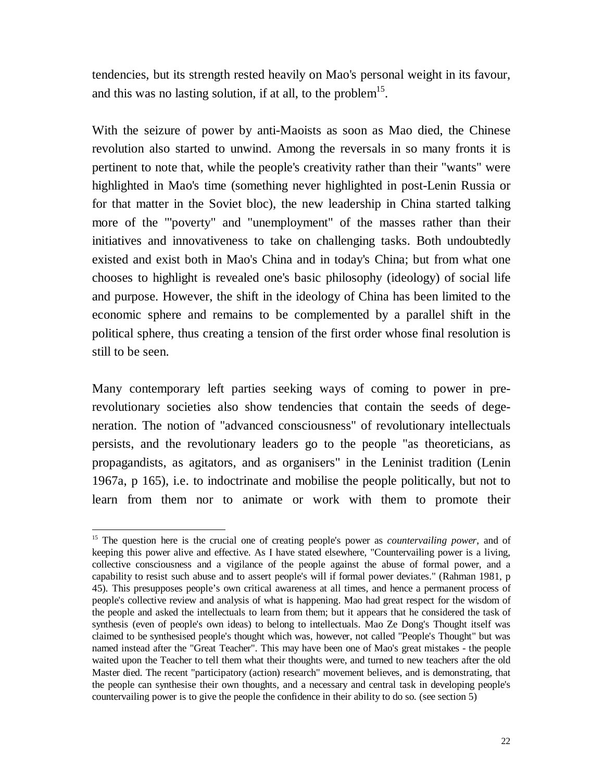tendencies, but its strength rested heavily on Mao's personal weight in its favour, and this was no lasting solution, if at all, to the problem<sup>15</sup>.

With the seizure of power by anti-Maoists as soon as Mao died, the Chinese revolution also started to unwind. Among the reversals in so many fronts it is pertinent to note that, while the people's creativity rather than their "wants" were highlighted in Mao's time (something never highlighted in post-Lenin Russia or for that matter in the Soviet bloc), the new leadership in China started talking more of the "'poverty" and "unemployment" of the masses rather than their initiatives and innovativeness to take on challenging tasks. Both undoubtedly existed and exist both in Mao's China and in today's China; but from what one chooses to highlight is revealed one's basic philosophy (ideology) of social life and purpose. However, the shift in the ideology of China has been limited to the economic sphere and remains to be complemented by a parallel shift in the political sphere, thus creating a tension of the first order whose final resolution is still to be seen.

Many contemporary left parties seeking ways of coming to power in prerevolutionary societies also show tendencies that contain the seeds of degeneration. The notion of "advanced consciousness" of revolutionary intellectuals persists, and the revolutionary leaders go to the people "as theoreticians, as propagandists, as agitators, and as organisers" in the Leninist tradition (Lenin 1967a, p 165), i.e. to indoctrinate and mobilise the people politically, but not to learn from them nor to animate or work with them to promote their

<sup>15</sup> The question here is the crucial one of creating people's power as *countervailing power*, and of keeping this power alive and effective. As I have stated elsewhere, "Countervailing power is a living, collective consciousness and a vigilance of the people against the abuse of formal power, and a capability to resist such abuse and to assert people's will if formal power deviates." (Rahman 1981, p 45). This presupposes people's own critical awareness at all times, and hence a permanent process of people's collective review and analysis of what is happening. Mao had great respect for the wisdom of the people and asked the intellectuals to learn from them; but it appears that he considered the task of synthesis (even of people's own ideas) to belong to intellectuals. Mao Ze Dong's Thought itself was claimed to be synthesised people's thought which was, however, not called "People's Thought" but was named instead after the "Great Teacher". This may have been one of Mao's great mistakes - the people waited upon the Teacher to tell them what their thoughts were, and turned to new teachers after the old Master died. The recent "participatory (action) research" movement believes, and is demonstrating, that the people can synthesise their own thoughts, and a necessary and central task in developing people's countervailing power is to give the people the confidence in their ability to do so. (see section 5)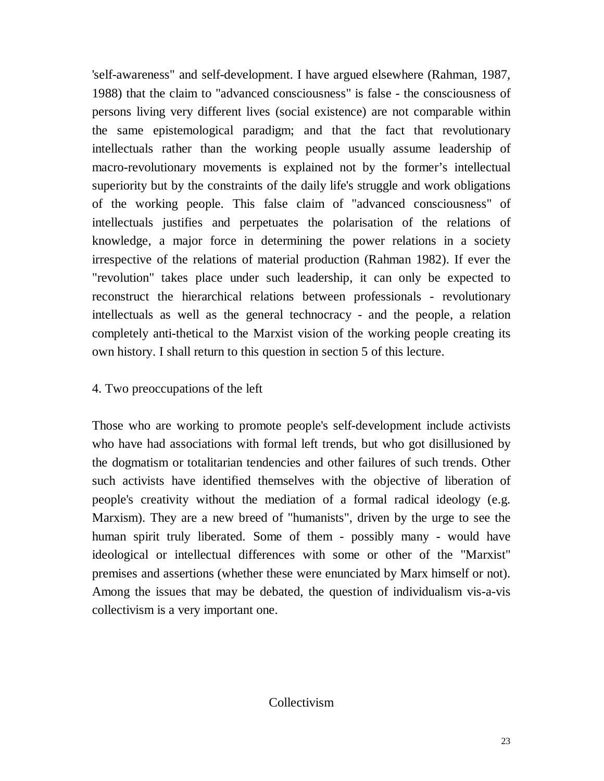'self-awareness" and self-development. I have argued elsewhere (Rahman, 1987, 1988) that the claim to "advanced consciousness" is false - the consciousness of persons living very different lives (social existence) are not comparable within the same epistemological paradigm; and that the fact that revolutionary intellectuals rather than the working people usually assume leadership of macro-revolutionary movements is explained not by the former's intellectual superiority but by the constraints of the daily life's struggle and work obligations of the working people. This false claim of "advanced consciousness" of intellectuals justifies and perpetuates the polarisation of the relations of knowledge, a major force in determining the power relations in a society irrespective of the relations of material production (Rahman 1982). If ever the "revolution" takes place under such leadership, it can only be expected to reconstruct the hierarchical relations between professionals - revolutionary intellectuals as well as the general technocracy - and the people, a relation completely anti-thetical to the Marxist vision of the working people creating its own history. I shall return to this question in section 5 of this lecture.

# 4. Two preoccupations of the left

Those who are working to promote people's self-development include activists who have had associations with formal left trends, but who got disillusioned by the dogmatism or totalitarian tendencies and other failures of such trends. Other such activists have identified themselves with the objective of liberation of people's creativity without the mediation of a formal radical ideology (e.g. Marxism). They are a new breed of "humanists", driven by the urge to see the human spirit truly liberated. Some of them - possibly many - would have ideological or intellectual differences with some or other of the "Marxist" premises and assertions (whether these were enunciated by Marx himself or not). Among the issues that may be debated, the question of individualism vis-a-vis collectivism is a very important one.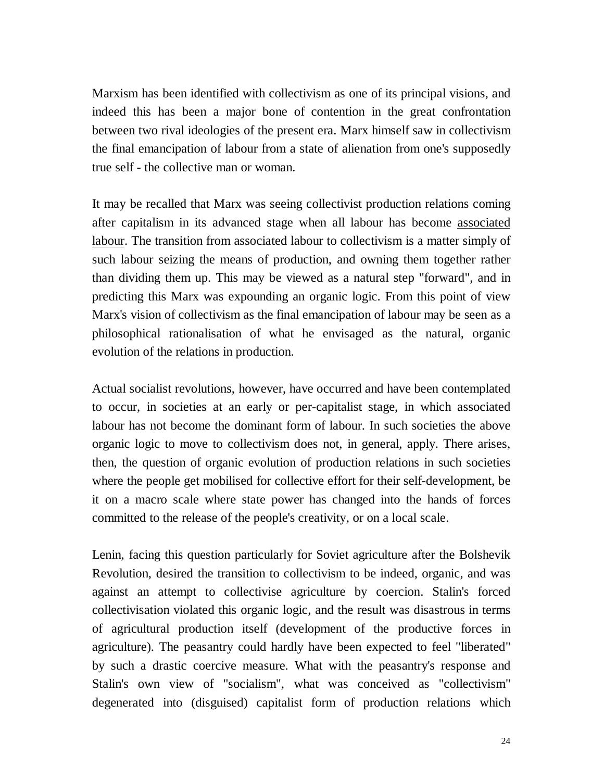Marxism has been identified with collectivism as one of its principal visions, and indeed this has been a major bone of contention in the great confrontation between two rival ideologies of the present era. Marx himself saw in collectivism the final emancipation of labour from a state of alienation from one's supposedly true self - the collective man or woman.

It may be recalled that Marx was seeing collectivist production relations coming after capitalism in its advanced stage when all labour has become associated labour. The transition from associated labour to collectivism is a matter simply of such labour seizing the means of production, and owning them together rather than dividing them up. This may be viewed as a natural step "forward", and in predicting this Marx was expounding an organic logic. From this point of view Marx's vision of collectivism as the final emancipation of labour may be seen as a philosophical rationalisation of what he envisaged as the natural, organic evolution of the relations in production.

Actual socialist revolutions, however, have occurred and have been contemplated to occur, in societies at an early or per-capitalist stage, in which associated labour has not become the dominant form of labour. In such societies the above organic logic to move to collectivism does not, in general, apply. There arises, then, the question of organic evolution of production relations in such societies where the people get mobilised for collective effort for their self-development, be it on a macro scale where state power has changed into the hands of forces committed to the release of the people's creativity, or on a local scale.

Lenin, facing this question particularly for Soviet agriculture after the Bolshevik Revolution, desired the transition to collectivism to be indeed, organic, and was against an attempt to collectivise agriculture by coercion. Stalin's forced collectivisation violated this organic logic, and the result was disastrous in terms of agricultural production itself (development of the productive forces in agriculture). The peasantry could hardly have been expected to feel "liberated" by such a drastic coercive measure. What with the peasantry's response and Stalin's own view of "socialism", what was conceived as "collectivism" degenerated into (disguised) capitalist form of production relations which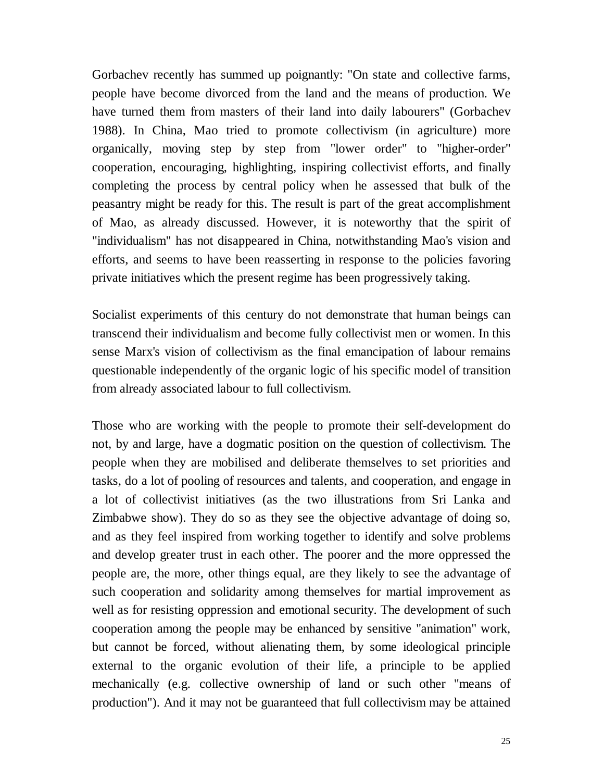Gorbachev recently has summed up poignantly: "On state and collective farms, people have become divorced from the land and the means of production. We have turned them from masters of their land into daily labourers" (Gorbachev 1988). In China, Mao tried to promote collectivism (in agriculture) more organically, moving step by step from "lower order" to "higher-order" cooperation, encouraging, highlighting, inspiring collectivist efforts, and finally completing the process by central policy when he assessed that bulk of the peasantry might be ready for this. The result is part of the great accomplishment of Mao, as already discussed. However, it is noteworthy that the spirit of "individualism" has not disappeared in China, notwithstanding Mao's vision and efforts, and seems to have been reasserting in response to the policies favoring private initiatives which the present regime has been progressively taking.

Socialist experiments of this century do not demonstrate that human beings can transcend their individualism and become fully collectivist men or women. In this sense Marx's vision of collectivism as the final emancipation of labour remains questionable independently of the organic logic of his specific model of transition from already associated labour to full collectivism.

Those who are working with the people to promote their self-development do not, by and large, have a dogmatic position on the question of collectivism. The people when they are mobilised and deliberate themselves to set priorities and tasks, do a lot of pooling of resources and talents, and cooperation, and engage in a lot of collectivist initiatives (as the two illustrations from Sri Lanka and Zimbabwe show). They do so as they see the objective advantage of doing so, and as they feel inspired from working together to identify and solve problems and develop greater trust in each other. The poorer and the more oppressed the people are, the more, other things equal, are they likely to see the advantage of such cooperation and solidarity among themselves for martial improvement as well as for resisting oppression and emotional security. The development of such cooperation among the people may be enhanced by sensitive "animation" work, but cannot be forced, without alienating them, by some ideological principle external to the organic evolution of their life, a principle to be applied mechanically (e.g. collective ownership of land or such other "means of production"). And it may not be guaranteed that full collectivism may be attained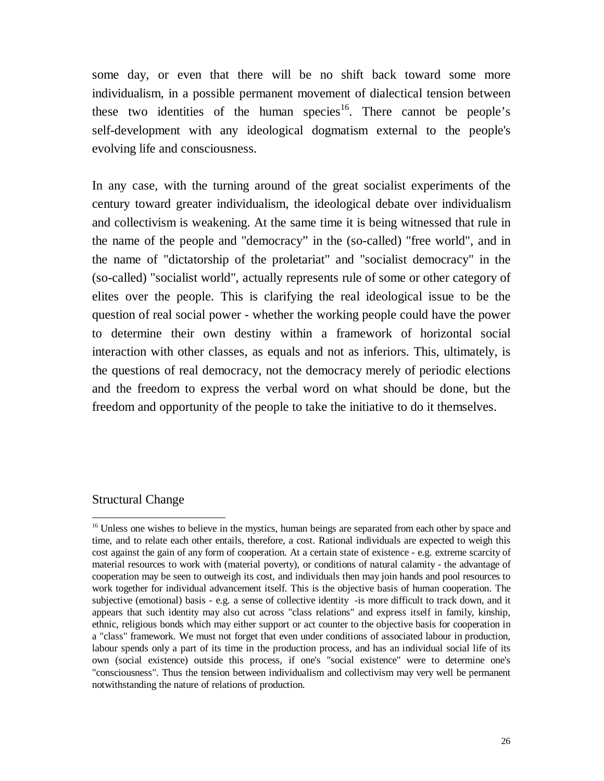some day, or even that there will be no shift back toward some more individualism, in a possible permanent movement of dialectical tension between these two identities of the human species<sup>16</sup>. There cannot be people's self-development with any ideological dogmatism external to the people's evolving life and consciousness.

In any case, with the turning around of the great socialist experiments of the century toward greater individualism, the ideological debate over individualism and collectivism is weakening. At the same time it is being witnessed that rule in the name of the people and "democracy" in the (so-called) "free world", and in the name of "dictatorship of the proletariat" and "socialist democracy" in the (so-called) "socialist world", actually represents rule of some or other category of elites over the people. This is clarifying the real ideological issue to be the question of real social power - whether the working people could have the power to determine their own destiny within a framework of horizontal social interaction with other classes, as equals and not as inferiors. This, ultimately, is the questions of real democracy, not the democracy merely of periodic elections and the freedom to express the verbal word on what should be done, but the freedom and opportunity of the people to take the initiative to do it themselves.

#### Structural Change

<sup>&</sup>lt;sup>16</sup> Unless one wishes to believe in the mystics, human beings are separated from each other by space and time, and to relate each other entails, therefore, a cost. Rational individuals are expected to weigh this cost against the gain of any form of cooperation. At a certain state of existence - e.g. extreme scarcity of material resources to work with (material poverty), or conditions of natural calamity - the advantage of cooperation may be seen to outweigh its cost, and individuals then may join hands and pool resources to work together for individual advancement itself. This is the objective basis of human cooperation. The subjective (emotional) basis - e.g. a sense of collective identity -is more difficult to track down, and it appears that such identity may also cut across "class relations" and express itself in family, kinship, ethnic, religious bonds which may either support or act counter to the objective basis for cooperation in a "class" framework. We must not forget that even under conditions of associated labour in production, labour spends only a part of its time in the production process, and has an individual social life of its own (social existence) outside this process, if one's "social existence" were to determine one's "consciousness". Thus the tension between individualism and collectivism may very well be permanent notwithstanding the nature of relations of production.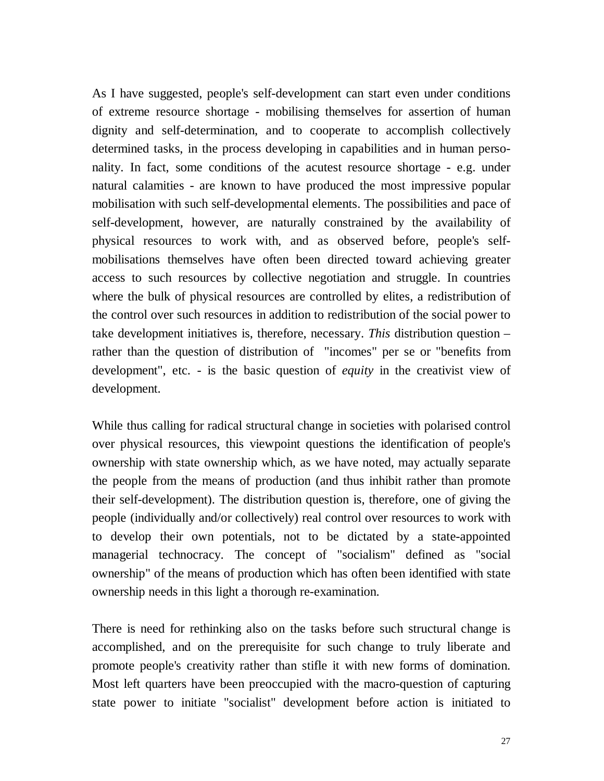As I have suggested, people's self-development can start even under conditions of extreme resource shortage - mobilising themselves for assertion of human dignity and self-determination, and to cooperate to accomplish collectively determined tasks, in the process developing in capabilities and in human personality. In fact, some conditions of the acutest resource shortage - e.g. under natural calamities - are known to have produced the most impressive popular mobilisation with such self-developmental elements. The possibilities and pace of self-development, however, are naturally constrained by the availability of physical resources to work with, and as observed before, people's selfmobilisations themselves have often been directed toward achieving greater access to such resources by collective negotiation and struggle. In countries where the bulk of physical resources are controlled by elites, a redistribution of the control over such resources in addition to redistribution of the social power to take development initiatives is, therefore, necessary. *This* distribution question – rather than the question of distribution of "incomes" per se or "benefits from development", etc. - is the basic question of *equity* in the creativist view of development.

While thus calling for radical structural change in societies with polarised control over physical resources, this viewpoint questions the identification of people's ownership with state ownership which, as we have noted, may actually separate the people from the means of production (and thus inhibit rather than promote their self-development). The distribution question is, therefore, one of giving the people (individually and/or collectively) real control over resources to work with to develop their own potentials, not to be dictated by a state-appointed managerial technocracy. The concept of "socialism" defined as "social ownership" of the means of production which has often been identified with state ownership needs in this light a thorough re-examination.

There is need for rethinking also on the tasks before such structural change is accomplished, and on the prerequisite for such change to truly liberate and promote people's creativity rather than stifle it with new forms of domination. Most left quarters have been preoccupied with the macro-question of capturing state power to initiate "socialist" development before action is initiated to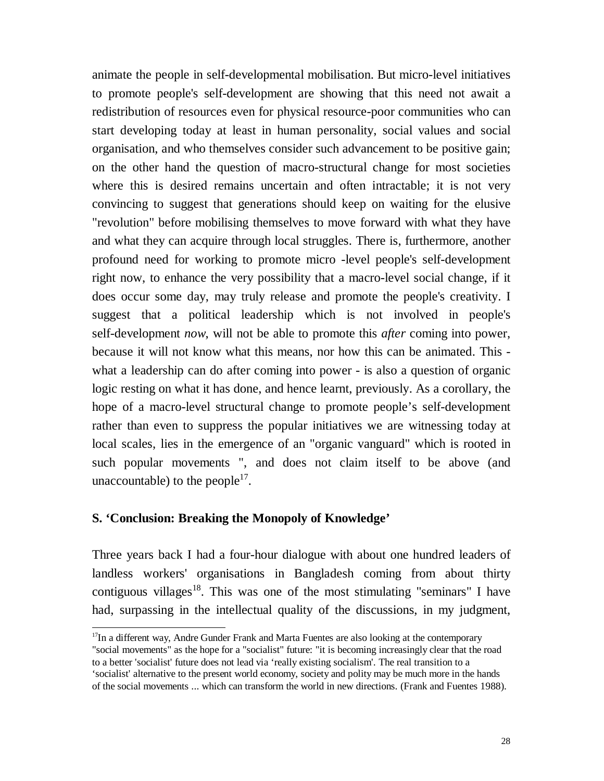animate the people in self-developmental mobilisation. But micro-level initiatives to promote people's self-development are showing that this need not await a redistribution of resources even for physical resource-poor communities who can start developing today at least in human personality, social values and social organisation, and who themselves consider such advancement to be positive gain; on the other hand the question of macro-structural change for most societies where this is desired remains uncertain and often intractable; it is not very convincing to suggest that generations should keep on waiting for the elusive "revolution" before mobilising themselves to move forward with what they have and what they can acquire through local struggles. There is, furthermore, another profound need for working to promote micro -level people's self-development right now, to enhance the very possibility that a macro-level social change, if it does occur some day, may truly release and promote the people's creativity. I suggest that a political leadership which is not involved in people's self-development *now*, will not be able to promote this *after* coming into power, because it will not know what this means, nor how this can be animated. This what a leadership can do after coming into power - is also a question of organic logic resting on what it has done, and hence learnt, previously. As a corollary, the hope of a macro-level structural change to promote people's self-development rather than even to suppress the popular initiatives we are witnessing today at local scales, lies in the emergence of an "organic vanguard" which is rooted in such popular movements ", and does not claim itself to be above (and unaccountable) to the people<sup>17</sup>.

#### **S. 'Conclusion: Breaking the Monopoly of Knowledge'**

-

Three years back I had a four-hour dialogue with about one hundred leaders of landless workers' organisations in Bangladesh coming from about thirty contiguous villages<sup>18</sup>. This was one of the most stimulating "seminars" I have had, surpassing in the intellectual quality of the discussions, in my judgment,

 $17$ In a different way, Andre Gunder Frank and Marta Fuentes are also looking at the contemporary "social movements" as the hope for a "socialist" future: "it is becoming increasingly clear that the road to a better 'socialist' future does not lead via 'really existing socialism'. The real transition to a 'socialist' alternative to the present world economy, society and polity may be much more in the hands of the social movements ... which can transform the world in new directions. (Frank and Fuentes 1988).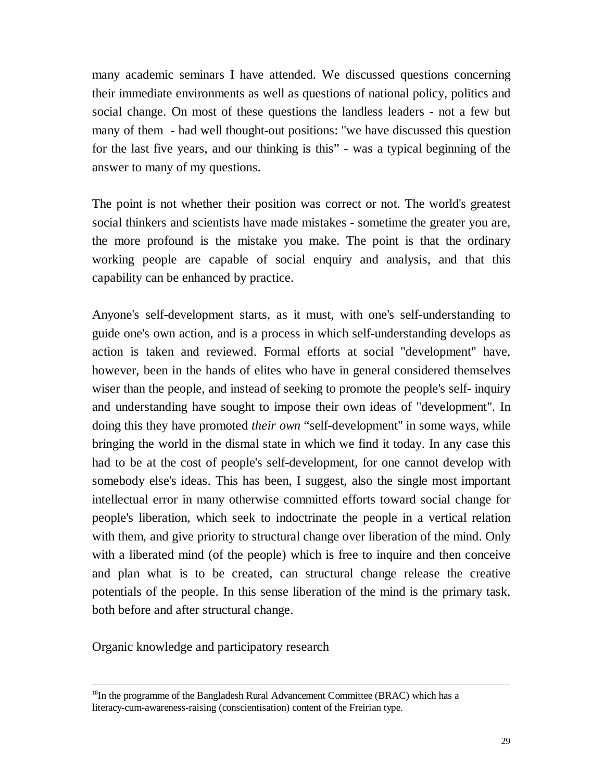many academic seminars I have attended. We discussed questions concerning their immediate environments as well as questions of national policy, politics and social change. On most of these questions the landless leaders - not a few but many of them - had well thought-out positions: "we have discussed this question for the last five years, and our thinking is this" - was a typical beginning of the answer to many of my questions.

The point is not whether their position was correct or not. The world's greatest social thinkers and scientists have made mistakes - sometime the greater you are, the more profound is the mistake you make. The point is that the ordinary working people are capable of social enquiry and analysis, and that this capability can be enhanced by practice.

Anyone's self-development starts, as it must, with one's self-understanding to guide one's own action, and is a process in which self-understanding develops as action is taken and reviewed. Formal efforts at social "development" have, however, been in the hands of elites who have in general considered themselves wiser than the people, and instead of seeking to promote the people's self- inquiry and understanding have sought to impose their own ideas of "development". In doing this they have promoted *their own* "self-development" in some ways, while bringing the world in the dismal state in which we find it today. In any case this had to be at the cost of people's self-development, for one cannot develop with somebody else's ideas. This has been, I suggest, also the single most important intellectual error in many otherwise committed efforts toward social change for people's liberation, which seek to indoctrinate the people in a vertical relation with them, and give priority to structural change over liberation of the mind. Only with a liberated mind (of the people) which is free to inquire and then conceive and plan what is to be created, can structural change release the creative potentials of the people. In this sense liberation of the mind is the primary task, both before and after structural change.

Organic knowledge and participatory research

 $^{18}$ In the programme of the Bangladesh Rural Advancement Committee (BRAC) which has a literacy-cum-awareness-raising (conscientisation) content of the Freirian type.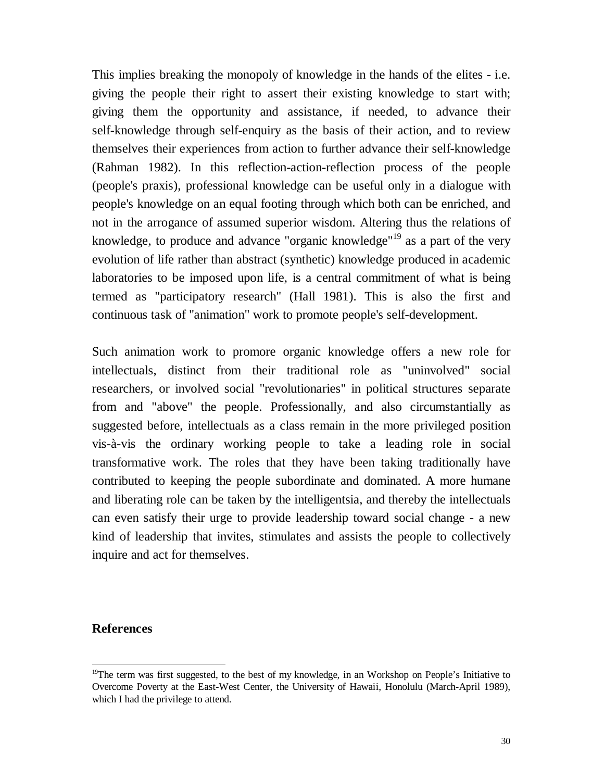This implies breaking the monopoly of knowledge in the hands of the elites - i.e. giving the people their right to assert their existing knowledge to start with; giving them the opportunity and assistance, if needed, to advance their self-knowledge through self-enquiry as the basis of their action, and to review themselves their experiences from action to further advance their self-knowledge (Rahman 1982). In this reflection-action-reflection process of the people (people's praxis), professional knowledge can be useful only in a dialogue with people's knowledge on an equal footing through which both can be enriched, and not in the arrogance of assumed superior wisdom. Altering thus the relations of knowledge, to produce and advance "organic knowledge"<sup>19</sup> as a part of the very evolution of life rather than abstract (synthetic) knowledge produced in academic laboratories to be imposed upon life, is a central commitment of what is being termed as "participatory research" (Hall 1981). This is also the first and continuous task of "animation" work to promote people's self-development.

Such animation work to promore organic knowledge offers a new role for intellectuals, distinct from their traditional role as "uninvolved" social researchers, or involved social "revolutionaries" in political structures separate from and "above" the people. Professionally, and also circumstantially as suggested before, intellectuals as a class remain in the more privileged position vis-à-vis the ordinary working people to take a leading role in social transformative work. The roles that they have been taking traditionally have contributed to keeping the people subordinate and dominated. A more humane and liberating role can be taken by the intelligentsia, and thereby the intellectuals can even satisfy their urge to provide leadership toward social change - a new kind of leadership that invites, stimulates and assists the people to collectively inquire and act for themselves.

### **References**

<sup>&</sup>lt;sup>19</sup>The term was first suggested, to the best of my knowledge, in an Workshop on People's Initiative to Overcome Poverty at the East-West Center, the University of Hawaii, Honolulu (March-April 1989), which I had the privilege to attend.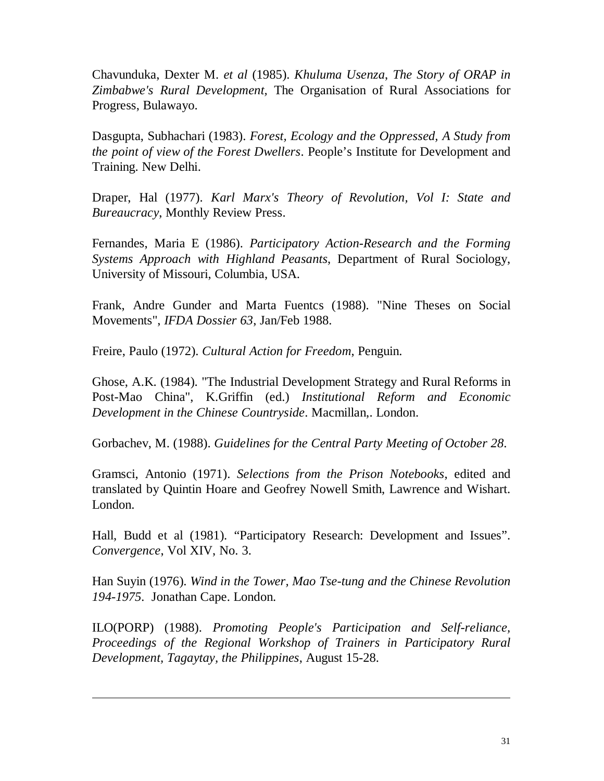Chavunduka, Dexter M. *et al* (1985). *Khuluma Usenza*, *The Story of ORAP in Zimbabwe's Rural Development,* The Organisation of Rural Associations for Progress, Bulawayo.

Dasgupta, Subhachari (1983). *Forest, Ecology and the Oppressed, A Study from the point of view of the Forest Dwellers*. People's Institute for Development and Training. New Delhi.

Draper, Hal (1977). *Karl Marx's Theory of Revolution, Vol I: State and Bureaucracy*, Monthly Review Press.

Fernandes, Maria E (1986). *Participatory Action-Research and the Forming Systems Approach with Highland Peasants*, Department of Rural Sociology, University of Missouri, Columbia, USA.

Frank, Andre Gunder and Marta Fuentcs (1988). "Nine Theses on Social Movements", *IFDA Dossier 63*, Jan/Feb 1988.

Freire, Paulo (1972). *Cultural Action for Freedom*, Penguin.

Ghose, A.K. (1984). "The Industrial Development Strategy and Rural Reforms in Post-Mao China", K.Griffin (ed.) *Institutional Reform and Economic Development in the Chinese Countryside*. Macmillan,. London.

Gorbachev, M. (1988). *Guidelines for the Central Party Meeting of October 28*.

Gramsci, Antonio (1971). *Selections from the Prison Notebooks*, edited and translated by Quintin Hoare and Geofrey Nowell Smith, Lawrence and Wishart. London.

Hall, Budd et al (1981). "Participatory Research: Development and Issues". *Convergence*, Vol XIV, No. 3.

Han Suyin (1976). *Wind in the Tower, Mao Tse-tung and the Chinese Revolution 194-1975.* Jonathan Cape. London.

ILO(PORP) (1988). *Promoting People's Participation and Self-reliance, Proceedings of the Regional Workshop of Trainers in Participatory Rural Development, Tagaytay, the Philippines*, August 15-28.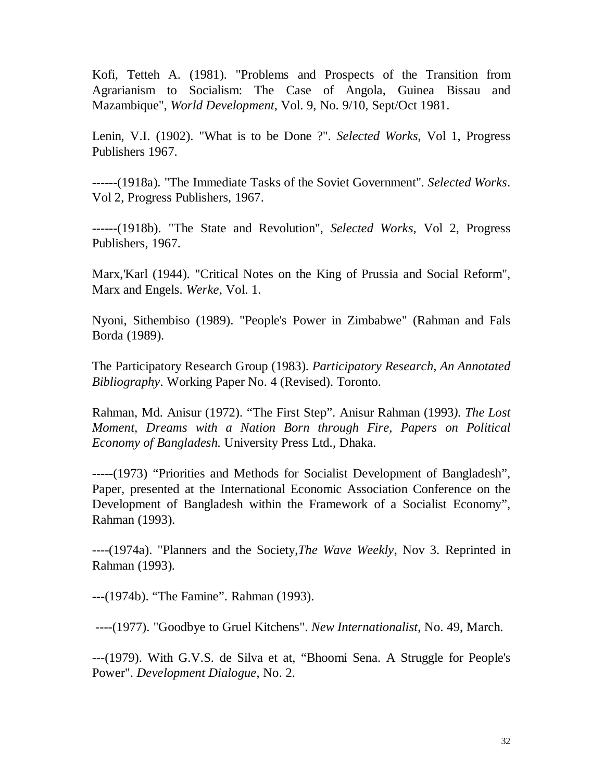Kofi, Tetteh A. (1981). "Problems and Prospects of the Transition from Agrarianism to Socialism: The Case of Angola, Guinea Bissau and Mazambique", *World Development*, Vol. 9, No. 9/10, Sept/Oct 1981.

Lenin, V.I. (1902). "What is to be Done ?". *Selected Works*, Vol 1, Progress Publishers 1967.

------(1918a). "The Immediate Tasks of the Soviet Government". *Selected Works*. Vol 2, Progress Publishers, 1967.

------(1918b). "The State and Revolution", *Selected Works*, Vol 2, Progress Publishers, 1967.

Marx,'Karl (1944). "Critical Notes on the King of Prussia and Social Reform", Marx and Engels. *Werke*, Vol. 1.

Nyoni, Sithembiso (1989). "People's Power in Zimbabwe" (Rahman and Fals Borda (1989).

The Participatory Research Group (1983). *Participatory Research, An Annotated Bibliography*. Working Paper No. 4 (Revised). Toronto.

Rahman, Md. Anisur (1972). "The First Step". Anisur Rahman (1993*). The Lost Moment, Dreams with a Nation Born through Fire, Papers on Political Economy of Bangladesh.* University Press Ltd., Dhaka.

-----(1973) "Priorities and Methods for Socialist Development of Bangladesh", Paper, presented at the International Economic Association Conference on the Development of Bangladesh within the Framework of a Socialist Economy", Rahman (1993).

----(1974a). "Planners and the Society,*The Wave Weekly*, Nov 3. Reprinted in Rahman (1993).

---(1974b). "The Famine". Rahman (1993).

----(1977). "Goodbye to Gruel Kitchens". *New Internationalist*, No. 49, March.

---(1979). With G.V.S. de Silva et at, "Bhoomi Sena. A Struggle for People's Power". *Development Dialogue*, No. 2.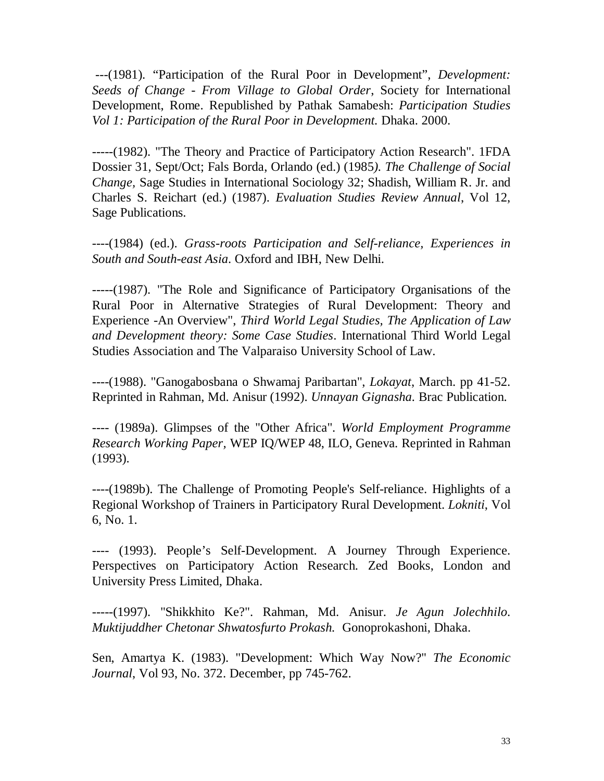---(1981). "Participation of the Rural Poor in Development", *Development: Seeds of Change - From Village to Global Order*, Society for International Development, Rome. Republished by Pathak Samabesh: *Participation Studies Vol 1: Participation of the Rural Poor in Development.* Dhaka. 2000.

-----(1982). "The Theory and Practice of Participatory Action Research". 1FDA Dossier 31, Sept/Oct; Fals Borda, Orlando (ed.) (1985*). The Challenge of Social Change,* Sage Studies in International Sociology 32; Shadish, William R. Jr. and Charles S. Reichart (ed.) (1987). *Evaluation Studies Review Annual*, Vol 12, Sage Publications.

----(1984) (ed.). *Grass-roots Participation and Self-reliance, Experiences in South and South-east Asia*. Oxford and IBH, New Delhi.

-----(1987). "The Role and Significance of Participatory Organisations of the Rural Poor in Alternative Strategies of Rural Development: Theory and Experience -An Overview", *Third World Legal Studies, The Application of Law and Development theory: Some Case Studies*. International Third World Legal Studies Association and The Valparaiso University School of Law.

----(1988). "Ganogabosbana o Shwamaj Paribartan", *Lokayat*, March. pp 41-52. Reprinted in Rahman, Md. Anisur (1992). *Unnayan Gignasha.* Brac Publication.

---- (1989a). Glimpses of the "Other Africa". *World Employment Programme Research Working Paper,* WEP IQ/WEP 48, ILO, Geneva. Reprinted in Rahman (1993).

----(1989b). The Challenge of Promoting People's Self-reliance. Highlights of a Regional Workshop of Trainers in Participatory Rural Development. *Lokniti*, Vol 6, No. 1.

---- (1993). People's Self-Development. A Journey Through Experience. Perspectives on Participatory Action Research. Zed Books, London and University Press Limited, Dhaka.

-----(1997). "Shikkhito Ke?". Rahman, Md. Anisur. *Je Agun Jolechhilo*. *Muktijuddher Chetonar Shwatosfurto Prokash.* Gonoprokashoni, Dhaka.

Sen, Amartya K. (1983). "Development: Which Way Now?" *The Economic Journal*, Vol 93, No. 372. December, pp 745-762.